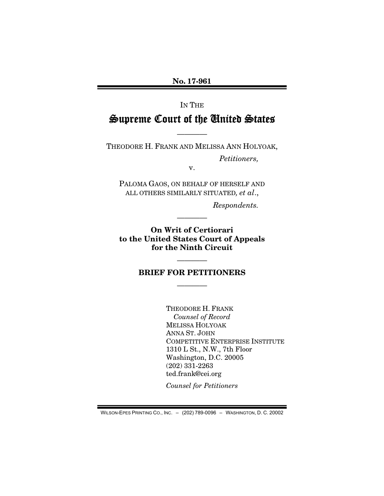No. 17-961

# IN THE Supreme Court of the United States

THEODORE H. FRANK AND MELISSA ANN HOLYOAK,

————

*Petitioners,* 

v.

PALOMA GAOS, ON BEHALF OF HERSELF AND ALL OTHERS SIMILARLY SITUATED*, et al*.,

*Respondents.* 

On Writ of Certiorari to the United States Court of Appeals for the Ninth Circuit

————

## ———— BRIEF FOR PETITIONERS

————

THEODORE H. FRANK *Counsel of Record*  MELISSA HOLYOAK ANNA ST. JOHN COMPETITIVE ENTERPRISE INSTITUTE 1310 L St., N.W., 7th Floor Washington, D.C. 20005 (202) 331-2263 ted.frank@cei.org

*Counsel for Petitioners* 

WILSON-EPES PRINTING CO., INC. – (202) 789-0096 – WASHINGTON, D. C. 20002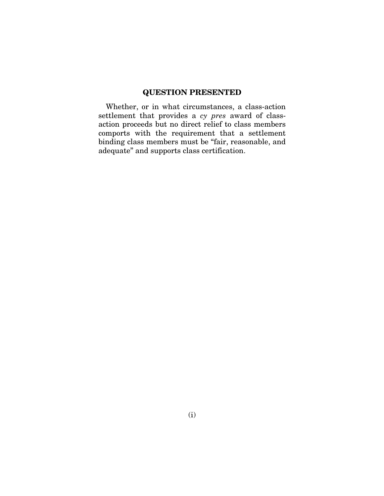### QUESTION PRESENTED

Whether, or in what circumstances, a class-action settlement that provides a *cy pres* award of classaction proceeds but no direct relief to class members comports with the requirement that a settlement binding class members must be "fair, reasonable, and adequate" and supports class certification.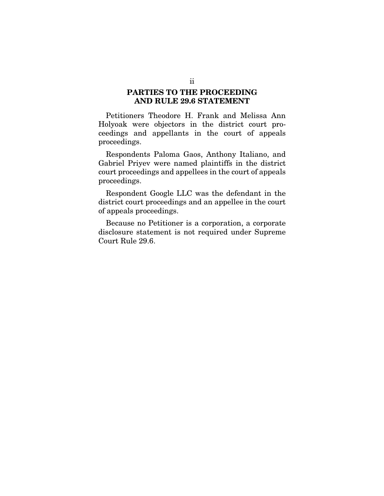### PARTIES TO THE PROCEEDING AND RULE 29.6 STATEMENT

Petitioners Theodore H. Frank and Melissa Ann Holyoak were objectors in the district court proceedings and appellants in the court of appeals proceedings.

Respondents Paloma Gaos, Anthony Italiano, and Gabriel Priyev were named plaintiffs in the district court proceedings and appellees in the court of appeals proceedings.

Respondent Google LLC was the defendant in the district court proceedings and an appellee in the court of appeals proceedings.

Because no Petitioner is a corporation, a corporate disclosure statement is not required under Supreme Court Rule 29.6.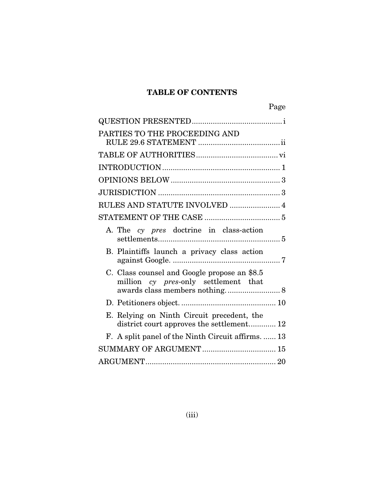### TABLE OF CONTENTS

| Page                                                                                                                   |
|------------------------------------------------------------------------------------------------------------------------|
|                                                                                                                        |
| PARTIES TO THE PROCEEDING AND                                                                                          |
|                                                                                                                        |
|                                                                                                                        |
|                                                                                                                        |
|                                                                                                                        |
| RULES AND STATUTE INVOLVED  4                                                                                          |
|                                                                                                                        |
| A. The cy pres doctrine in class-action                                                                                |
| B. Plaintiffs launch a privacy class action                                                                            |
| C. Class counsel and Google propose an \$8.5<br>million cy pres-only settlement that<br>awards class members nothing 8 |
|                                                                                                                        |
| E. Relying on Ninth Circuit precedent, the<br>district court approves the settlement 12                                |
| F. A split panel of the Ninth Circuit affirms.  13                                                                     |
|                                                                                                                        |
|                                                                                                                        |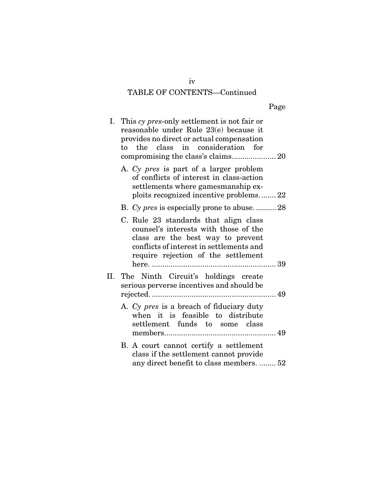# TABLE OF CONTENTS—Continued

| Page |
|------|
|      |

| I. This cy pres-only settlement is not fair or<br>reasonable under Rule 23(e) because it                                                                                                               |
|--------------------------------------------------------------------------------------------------------------------------------------------------------------------------------------------------------|
| provides no direct or actual compensation<br>the class in consideration for<br>to                                                                                                                      |
| A. Cy pres is part of a larger problem<br>of conflicts of interest in class-action<br>settlements where gamesmanship ex-<br>ploits recognized incentive problems 22                                    |
| B. Cy pres is especially prone to abuse28                                                                                                                                                              |
| C. Rule 23 standards that align class<br>counsel's interests with those of the<br>class are the best way to prevent<br>conflicts of interest in settlements and<br>require rejection of the settlement |
| II. The Ninth Circuit's holdings create<br>serious perverse incentives and should be                                                                                                                   |
| A. Cy pres is a breach of fiduciary duty<br>when it is feasible to distribute<br>settlement funds to some class                                                                                        |
| B. A court cannot certify a settlement<br>class if the settlement cannot provide<br>any direct benefit to class members.  52                                                                           |

iv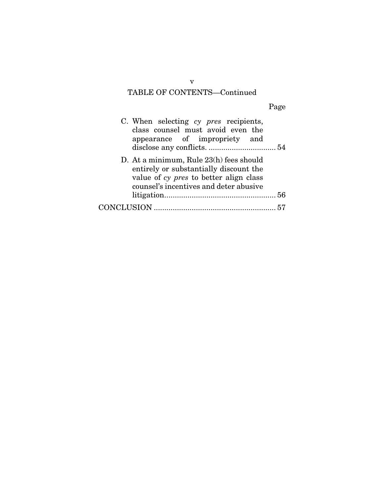# TABLE OF CONTENTS—Continued

| C. When selecting cy pres recipients,<br>class counsel must avoid even the<br>appearance of impropriety and                                                           |  |
|-----------------------------------------------------------------------------------------------------------------------------------------------------------------------|--|
| D. At a minimum, Rule 23(h) fees should<br>entirely or substantially discount the<br>value of cy pres to better align class<br>counsel's incentives and deter abusive |  |
|                                                                                                                                                                       |  |
|                                                                                                                                                                       |  |

v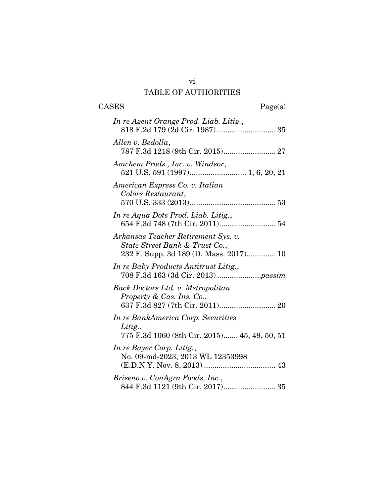# TABLE OF AUTHORITIES

| <b>CASES</b><br>Page(s)                                                                                         |
|-----------------------------------------------------------------------------------------------------------------|
| In re Agent Orange Prod. Liab. Litig.,                                                                          |
| Allen v. Bedolla,<br>787 F.3d 1218 (9th Cir. 2015) 27                                                           |
| Amchem Prods., Inc. v. Windsor,<br>521 U.S. 591 (1997) 1, 6, 20, 21                                             |
| American Express Co. v. Italian<br>Colors Restaurant,                                                           |
| In re Aqua Dots Prod. Liab. Litig.,                                                                             |
| Arkansas Teacher Retirement Sys. v.<br>State Street Bank & Trust Co.,<br>232 F. Supp. 3d 189 (D. Mass. 2017) 10 |
| In re Baby Products Antitrust Litig.,                                                                           |
| Back Doctors Ltd. v. Metropolitan<br>Property & Cas. Ins. Co.,<br>637 F.3d 827 (7th Cir. 2011) 20               |
| In re BankAmerica Corp. Securities<br>Litig.,<br>775 F.3d 1060 (8th Cir. 2015) 45, 49, 50, 51                   |
| In re Bayer Corp. Litig.,<br>No. 09-md-2023, 2013 WL 12353998                                                   |
| Briseno v. ConAgra Foods, Inc.,                                                                                 |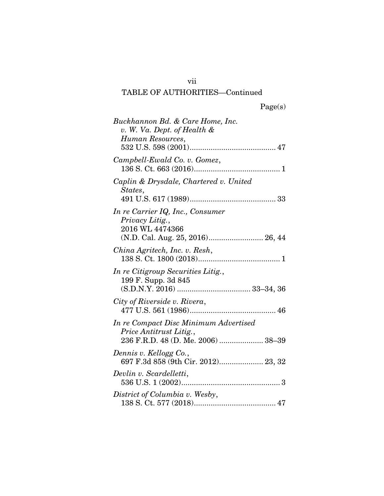# TABLE OF AUTHORITIES—Continued

|  | Page(s) |
|--|---------|
|  |         |

| Buckhannon Bd. & Care Home, Inc.<br>v. W. Va. Dept. of Health &<br>Human Resources,                        |
|------------------------------------------------------------------------------------------------------------|
| Campbell-Ewald Co. v. Gomez,                                                                               |
| Caplin & Drysdale, Chartered v. United<br>States,                                                          |
| In re Carrier IQ, Inc., Consumer<br>Privacy Litig.,<br>2016 WL 4474366<br>(N.D. Cal. Aug. 25, 2016) 26, 44 |
| China Agritech, Inc. v. Resh,                                                                              |
| In re Citigroup Securities Litig.,<br>199 F. Supp. 3d 845                                                  |
| City of Riverside v. Rivera,                                                                               |
| In re Compact Disc Minimum Advertised<br>Price Antitrust Litig.,<br>236 F.R.D. 48 (D. Me. 2006)  38-39     |
| Dennis v. Kellogg Co.,<br>697 F.3d 858 (9th Cir. 2012) 23, 32                                              |
| Devlin v. Scardelletti,                                                                                    |
| District of Columbia v. Wesby,                                                                             |

vii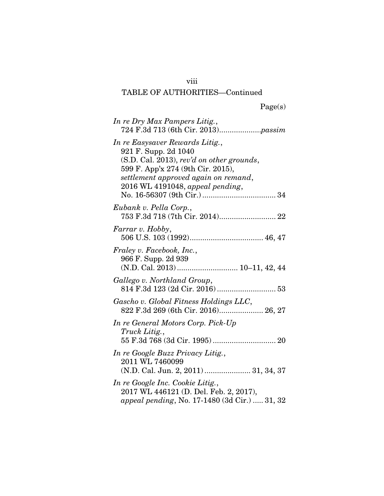# viii

|  | Page(s) |
|--|---------|
|  |         |

| In re Dry Max Pampers Litig.,                                                                                                                                                                                            |
|--------------------------------------------------------------------------------------------------------------------------------------------------------------------------------------------------------------------------|
| In re Easysaver Rewards Litig.,<br>921 F. Supp. 2d 1040<br>$(S.D. Cal. 2013)$ , rev'd on other grounds,<br>599 F. App'x 274 (9th Cir. 2015),<br>settlement approved again on remand,<br>2016 WL 4191048, appeal pending, |
| Eubank v. Pella Corp.,<br>753 F.3d 718 (7th Cir. 2014) 22                                                                                                                                                                |
| Farrar v. Hobby,                                                                                                                                                                                                         |
| Fraley v. Facebook, Inc.,<br>966 F. Supp. 2d 939<br>(N.D. Cal. 2013)  10-11, 42, 44                                                                                                                                      |
| Gallego v. Northland Group,<br>814 F.3d 123 (2d Cir. 2016)  53                                                                                                                                                           |
| Gascho v. Global Fitness Holdings LLC,<br>822 F.3d 269 (6th Cir. 2016) 26, 27                                                                                                                                            |
| In re General Motors Corp. Pick-Up<br>Truck Litig.,                                                                                                                                                                      |
| In re Google Buzz Privacy Litig.,<br>2011 WL 7460099<br>(N.D. Cal. Jun. 2, 2011)  31, 34, 37                                                                                                                             |
| In re Google Inc. Cookie Litig.,<br>2017 WL 446121 (D. Del. Feb. 2, 2017),<br>appeal pending, No. 17-1480 (3d Cir.)  31, 32                                                                                              |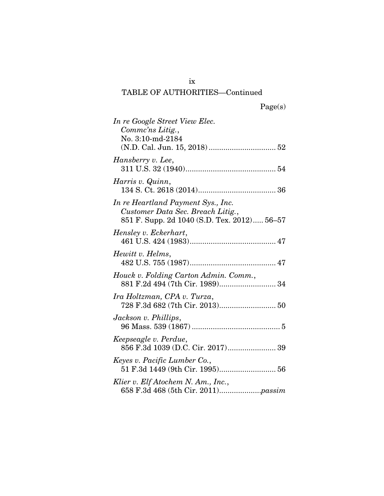# TABLE OF AUTHORITIES—Continued

| In re Google Street View Elec.<br>Commc'ns Litig.,<br>No. 3:10-md-2184                                                 |
|------------------------------------------------------------------------------------------------------------------------|
| Hansberry v. Lee,                                                                                                      |
| Harris v. Quinn,                                                                                                       |
| In re Heartland Payment Sys., Inc.<br>Customer Data Sec. Breach Litig.,<br>851 F. Supp. 2d 1040 (S.D. Tex. 2012) 56-57 |
| Hensley v. Eckerhart,                                                                                                  |
| Hewitt v. Helms,                                                                                                       |
| Houck v. Folding Carton Admin. Comm.,<br>881 F.2d 494 (7th Cir. 1989) 34                                               |
| Ira Holtzman, CPA v. Turza,                                                                                            |
| Jackson v. Phillips,                                                                                                   |
| Keepseagle v. Perdue,<br>856 F.3d 1039 (D.C. Cir. 2017) 39                                                             |
| Keyes v. Pacific Lumber Co.,<br>51 F.3d 1449 (9th Cir. 1995) 56                                                        |
| Klier v. Elf Atochem N. Am., Inc.,                                                                                     |

ix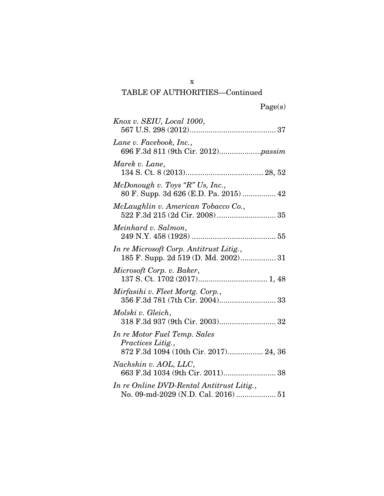| Knox v. SEIU, Local 1000,                                                                          |
|----------------------------------------------------------------------------------------------------|
| Lane v. Facebook, Inc.,                                                                            |
| Marek v. Lane,                                                                                     |
| McDonough v. Toys "R" Us, Inc.,<br>80 F. Supp. 3d 626 (E.D. Pa. 2015)  42                          |
| McLaughlin v. American Tobacco Co.,                                                                |
| Meinhard v. Salmon,                                                                                |
| In re Microsoft Corp. Antitrust Litig.,<br>185 F. Supp. 2d 519 (D. Md. 2002) 31                    |
| Microsoft Corp. v. Baker,                                                                          |
| Mirfasihi v. Fleet Mortg. Corp.,                                                                   |
| Molski v. Gleich,<br>318 F.3d 937 (9th Cir. 2003) 32                                               |
| In re Motor Fuel Temp. Sales<br><i>Practices Litig.</i> ,<br>872 F.3d 1094 (10th Cir. 2017) 24, 36 |
| Nachshin v. AOL, LLC,<br>663 F.3d 1034 (9th Cir. 2011) 38                                          |
| In re Online DVD-Rental Antitrust Litig.,<br>No. 09-md-2029 (N.D. Cal. 2016)  51                   |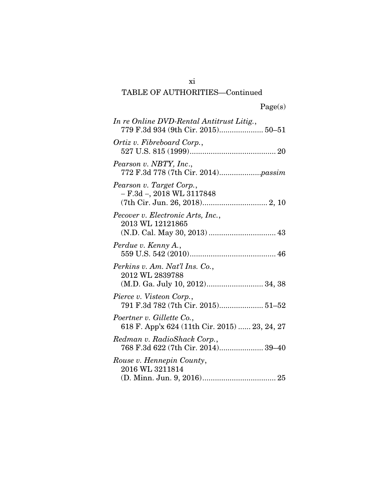# TABLE OF AUTHORITIES—Continued

| In re Online DVD-Rental Antitrust Litig.,                                             |
|---------------------------------------------------------------------------------------|
| Ortiz v. Fibreboard Corp.,                                                            |
| Pearson v. NBTY, Inc.,                                                                |
| Pearson v. Target Corp.,<br>$- F.3d - 2018 WL 3117848$                                |
| Pecover v. Electronic Arts, Inc.,<br>2013 WL 12121865<br>(N.D. Cal. May 30, 2013)  43 |
| Perdue v. Kenny A.,                                                                   |
| Perkins v. Am. Nat'l Ins. Co.,<br>2012 WL 2839788<br>(M.D. Ga. July 10, 2012) 34, 38  |
| Pierce v. Visteon Corp.,<br>791 F.3d 782 (7th Cir. 2015) 51-52                        |
| Poertner v. Gillette Co.,<br>618 F. App'x 624 (11th Cir. 2015)  23, 24, 27            |
| Redman v. RadioShack Corp.,<br>768 F.3d 622 (7th Cir. 2014) 39-40                     |
| Rouse v. Hennepin County,<br>2016 WL 3211814                                          |

xi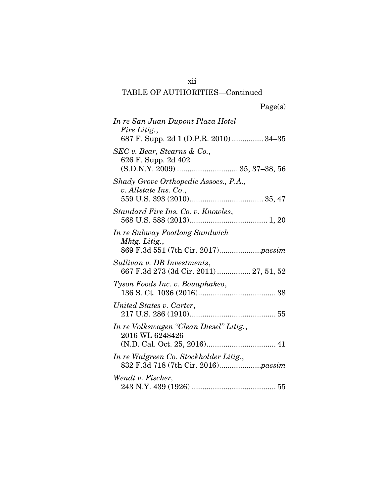# TABLE OF AUTHORITIES—Continued

| In re San Juan Dupont Plaza Hotel<br>Fire Litig.,<br>687 F. Supp. 2d 1 (D.P.R. 2010)  34–35 |
|---------------------------------------------------------------------------------------------|
| SEC v. Bear, Stearns & Co.,<br>626 F. Supp. 2d 402                                          |
| Shady Grove Orthopedic Assocs., P.A.,<br>v. Allstate Ins. Co.,                              |
| Standard Fire Ins. Co. v. Knowles,                                                          |
| In re Subway Footlong Sandwich<br>Mktg. Litig.,                                             |
| Sullivan v. DB Investments,<br>667 F.3d 273 (3d Cir. 2011)  27, 51, 52                      |
| Tyson Foods Inc. v. Bouaphakeo,                                                             |
| United States v. Carter,                                                                    |
| In re Volkswagen "Clean Diesel" Litig.,<br>2016 WL 6248426                                  |
| In re Walgreen Co. Stockholder Litig.,                                                      |
| Wendt v. Fischer,                                                                           |

xii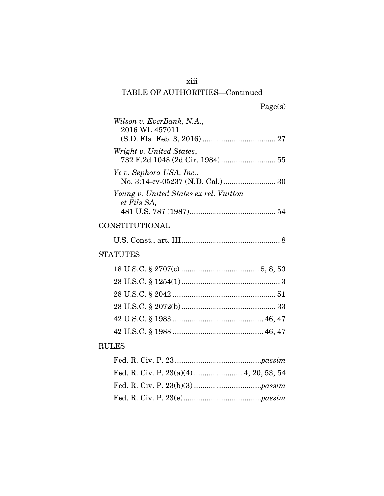# xiii

| Wilson v. EverBank, N.A.,<br>2016 WL 457011           |
|-------------------------------------------------------|
| Wright v. United States,                              |
| Ye v. Sephora USA, Inc.,                              |
| Young v. United States ex rel. Vuitton<br>et Fils SA, |
| CONSTITUTIONAL                                        |
|                                                       |
| <b>STATUTES</b>                                       |
|                                                       |
|                                                       |
|                                                       |
|                                                       |
|                                                       |
|                                                       |
| <b>RULES</b>                                          |
|                                                       |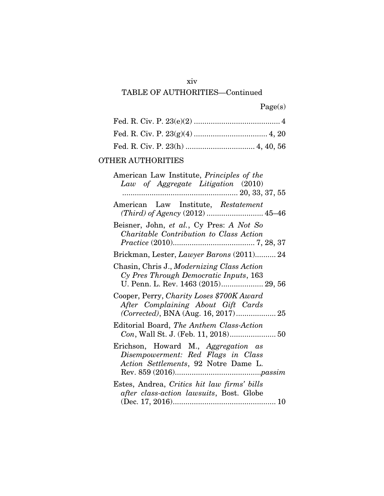### xiv

# TABLE OF AUTHORITIES—Continued

|  | Page(s) |
|--|---------|
|  |         |

### OTHER AUTHORITIES

| American Law Institute, <i>Principles of the</i><br>Law of Aggregate Litigation (2010)                                      |
|-----------------------------------------------------------------------------------------------------------------------------|
| American Law Institute, Restatement                                                                                         |
| Beisner, John, et al., Cy Pres: A Not So<br>Charitable Contribution to Class Action                                         |
| Brickman, Lester, Lawyer Barons (2011) 24                                                                                   |
| Chasin, Chris J., Modernizing Class Action<br>Cy Pres Through Democratic Inputs, 163<br>U. Penn. L. Rev. 1463 (2015) 29, 56 |
| Cooper, Perry, Charity Loses \$700K Award<br>After Complaining About Gift Cards                                             |
| Editorial Board, The Anthem Class-Action                                                                                    |
| Erichson, Howard M., Aggregation as<br>Disempowerment: Red Flags in Class<br>Action Settlements, 92 Notre Dame L.           |
| Estes, Andrea, Critics hit law firms' bills<br>after class-action lawsuits, Bost. Globe                                     |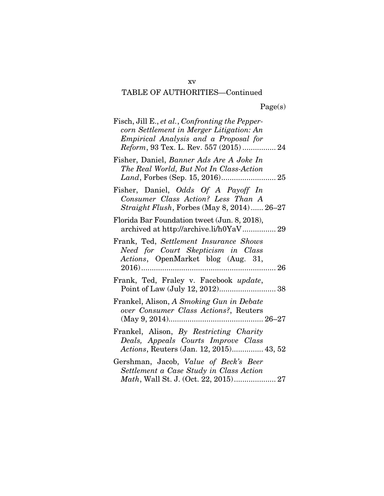| Fisch, Jill E., et al., Confronting the Pepper-<br>corn Settlement in Merger Litigation: An<br>Empirical Analysis and a Proposal for<br>Reform, 93 Tex. L. Rev. 557 (2015)  24 |
|--------------------------------------------------------------------------------------------------------------------------------------------------------------------------------|
| Fisher, Daniel, Banner Ads Are A Joke In<br>The Real World, But Not In Class-Action                                                                                            |
| Fisher, Daniel, Odds Of A Payoff In<br>Consumer Class Action? Less Than A<br><i>Straight Flush, Forbes (May 8, 2014) 26–27</i>                                                 |
| Florida Bar Foundation tweet (Jun. 8, 2018),<br>archived at http://archive.li/h0YaV 29                                                                                         |
| Frank, Ted, Settlement Insurance Shows<br>Need for Court Skepticism in Class<br>Actions, OpenMarket blog (Aug. 31,<br>. 26                                                     |
| Frank, Ted, Fraley v. Facebook update,                                                                                                                                         |
| Frankel, Alison, A Smoking Gun in Debate<br>over Consumer Class Actions?, Reuters                                                                                              |
| Frankel, Alison, By Restricting Charity<br>Deals, Appeals Courts Improve Class<br>Actions, Reuters (Jan. 12, 2015) 43, 52                                                      |
| Gershman, Jacob, Value of Beck's Beer<br>Settlement a Case Study in Class Action<br>Math, Wall St. J. (Oct. 22, 2015) 27                                                       |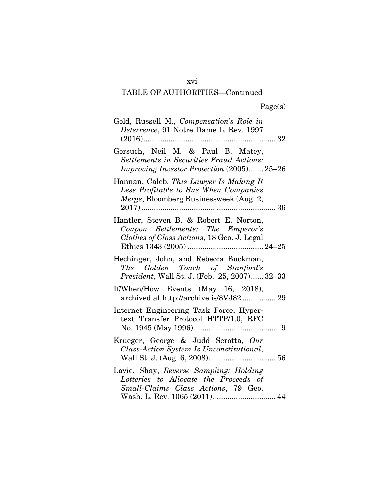### xvi

| Gold, Russell M., Compensation's Role in<br>Deterrence, 91 Notre Dame L. Rev. 1997                                                                     |
|--------------------------------------------------------------------------------------------------------------------------------------------------------|
| Gorsuch, Neil M. & Paul B. Matey,<br><b>Settlements in Securities Fraud Actions:</b><br><i>Improving Investor Protection</i> (2005) 25–26              |
| Hannan, Caleb, This Lawyer Is Making It<br>Less Profitable to Sue When Companies<br>Merge, Bloomberg Businessweek (Aug. 2,                             |
| Hantler, Steven B. & Robert E. Norton,<br>Coupon Settlements: The Emperor's<br>Clothes of Class Actions, 18 Geo. J. Legal                              |
| Hechinger, John, and Rebecca Buckman,<br>The Golden Touch of Stanford's<br>President, Wall St. J. (Feb. 25, 2007) 32-33                                |
| If/When/How Events (May 16, 2018),<br>archived at http://archive.is/8VJ82 29                                                                           |
| Internet Engineering Task Force, Hyper-<br>text Transfer Protocol HTTP/1.0, RFC                                                                        |
| Krueger, George & Judd Serotta, Our<br>Class-Action System Is Unconstitutional,                                                                        |
| Lavie, Shay, Reverse Sampling: Holding<br>Lotteries to Allocate the Proceeds of<br>Small-Claims Class Actions, 79 Geo.<br>Wash. L. Rev. 1065 (2011) 44 |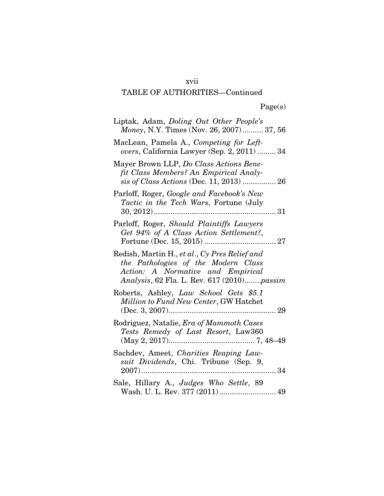## xvii

| Liptak, Adam, Doling Out Other People's<br>Money, N.Y. Times (Nov. 26, 2007) 37, 56                                                                                     |
|-------------------------------------------------------------------------------------------------------------------------------------------------------------------------|
| MacLean, Pamela A., Competing for Left-<br>overs, California Lawyer (Sep. 2, 2011)  34                                                                                  |
| Mayer Brown LLP, Do Class Actions Bene-<br>fit Class Members? An Empirical Analy-<br>sis of Class Actions (Dec. 11, 2013)  26                                           |
| Parloff, Roger, Google and Facebook's New<br><i>Tactic in the Tech Wars</i> , Fortune (July                                                                             |
| Parloff, Roger, Should Plaintiffs Lawyers<br>Get 94% of A Class Action Settlement?,                                                                                     |
| Redish, Martin H., et al., Cy Pres Relief and<br>the Pathologies of the Modern Class<br>Action: A Normative and Empirical<br>Analysis, 62 Fla. L. Rev. 617 (2010)passim |
| Roberts, Ashley, Law School Gets \$5.1<br>Million to Fund New Center, GW Hatchet                                                                                        |
| Rodriguez, Natalie, Era of Mammoth Cases<br>Tests Remedy of Last Resort, Law360                                                                                         |
| Sachdev, Ameet, Charities Reaping Law-<br>suit Dividends, Chi. Tribune (Sep. 9,<br>34                                                                                   |
| Sale, Hillary A., Judges Who Settle, 89<br>Wash. U. L. Rev. 377 (2011) 49                                                                                               |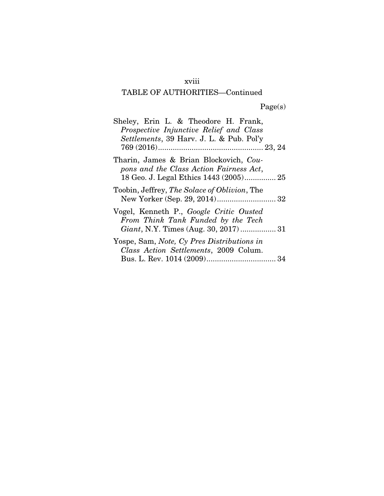# xviii

# TABLE OF AUTHORITIES—Continued

Page(s)

| Sheley, Erin L. & Theodore H. Frank,<br>Prospective Injunctive Relief and Class<br>Settlements, 39 Harv. J. L. & Pub. Pol'y |
|-----------------------------------------------------------------------------------------------------------------------------|
| Tharin, James & Brian Blockovich, Cou-<br>pons and the Class Action Fairness Act,                                           |
| Toobin, Jeffrey, <i>The Solace of Oblivion</i> , The<br>New Yorker (Sep. 29, 2014) 32                                       |
| Vogel, Kenneth P., Google Critic Ousted<br>From Think Tank Funded by the Tech                                               |
| Yospe, Sam, <i>Note</i> , Cy <i>Pres Distributions in</i><br>Class Action Settlements, 2009 Colum.                          |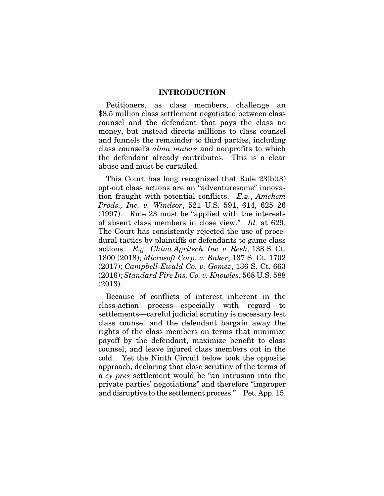#### INTRODUCTION

Petitioners, as class members, challenge an \$8.5 million class settlement negotiated between class counsel and the defendant that pays the class no money, but instead directs millions to class counsel and funnels the remainder to third parties, including class counsel's *alma maters* and nonprofits to which the defendant already contributes. This is a clear abuse and must be curtailed.

This Court has long recognized that Rule 23(b)(3) opt-out class actions are an "adventuresome" innovation fraught with potential conflicts. *E.g.*, *Amchem Prods., Inc. v. Windsor*, 521 U.S. 591, 614, 625–26 (1997). Rule 23 must be "applied with the interests of absent class members in close view." *Id.* at 629. The Court has consistently rejected the use of procedural tactics by plaintiffs or defendants to game class actions. *E.g., China Agritech, Inc. v. Resh*, 138 S. Ct. 1800 (2018); *Microsoft Corp. v. Baker*, 137 S. Ct. 1702 (2017); *Campbell-Ewald Co. v. Gomez*, 136 S. Ct. 663 (2016); *Standard Fire Ins. Co. v. Knowles*, 568 U.S. 588 (2013).

Because of conflicts of interest inherent in the class-action process—especially with regard to settlements—careful judicial scrutiny is necessary lest class counsel and the defendant bargain away the rights of the class members on terms that minimize payoff by the defendant, maximize benefit to class counsel, and leave injured class members out in the cold. Yet the Ninth Circuit below took the opposite approach, declaring that close scrutiny of the terms of a *cy pres* settlement would be "an intrusion into the private parties' negotiations" and therefore "improper and disruptive to the settlement process." Pet. App. 15.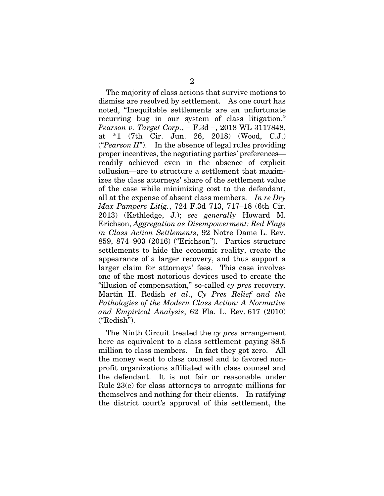The majority of class actions that survive motions to dismiss are resolved by settlement. As one court has noted, "Inequitable settlements are an unfortunate recurring bug in our system of class litigation." *Pearson v. Target Corp.*,  $-$  F.3d  $-$ , 2018 WL 3117848, at \*1 (7th Cir. Jun. 26, 2018) (Wood, C.J.) ("*Pearson II*"). In the absence of legal rules providing proper incentives, the negotiating parties' preferences readily achieved even in the absence of explicit collusion—are to structure a settlement that maximizes the class attorneys' share of the settlement value of the case while minimizing cost to the defendant, all at the expense of absent class members. *In re Dry Max Pampers Litig.*, 724 F.3d 713, 717–18 (6th Cir. 2013) (Kethledge, J.); *see generally* Howard M. Erichson, *Aggregation as Disempowerment: Red Flags in Class Action Settlements*, 92 Notre Dame L. Rev. 859, 874–903 (2016) ("Erichson"). Parties structure settlements to hide the economic reality, create the appearance of a larger recovery, and thus support a larger claim for attorneys' fees. This case involves one of the most notorious devices used to create the "illusion of compensation," so-called *cy pres* recovery. Martin H. Redish *et al*., *Cy Pres Relief and the Pathologies of the Modern Class Action: A Normative and Empirical Analysis*, 62 Fla. L. Rev. 617 (2010) ("Redish").

The Ninth Circuit treated the *cy pres* arrangement here as equivalent to a class settlement paying \$8.5 million to class members. In fact they got zero. All the money went to class counsel and to favored nonprofit organizations affiliated with class counsel and the defendant. It is not fair or reasonable under Rule 23(e) for class attorneys to arrogate millions for themselves and nothing for their clients. In ratifying the district court's approval of this settlement, the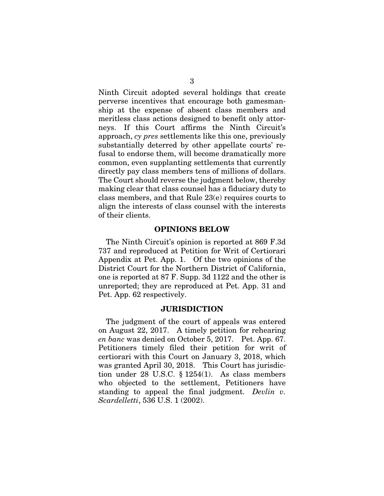Ninth Circuit adopted several holdings that create perverse incentives that encourage both gamesmanship at the expense of absent class members and meritless class actions designed to benefit only attorneys. If this Court affirms the Ninth Circuit's approach, *cy pres* settlements like this one, previously substantially deterred by other appellate courts' refusal to endorse them, will become dramatically more common, even supplanting settlements that currently directly pay class members tens of millions of dollars. The Court should reverse the judgment below, thereby making clear that class counsel has a fiduciary duty to class members, and that Rule 23(e) requires courts to align the interests of class counsel with the interests of their clients.

#### OPINIONS BELOW

The Ninth Circuit's opinion is reported at 869 F.3d 737 and reproduced at Petition for Writ of Certiorari Appendix at Pet. App. 1. Of the two opinions of the District Court for the Northern District of California, one is reported at 87 F. Supp. 3d 1122 and the other is unreported; they are reproduced at Pet. App. 31 and Pet. App. 62 respectively.

#### JURISDICTION

The judgment of the court of appeals was entered on August 22, 2017. A timely petition for rehearing *en banc* was denied on October 5, 2017. Pet. App. 67. Petitioners timely filed their petition for writ of certiorari with this Court on January 3, 2018, which was granted April 30, 2018. This Court has jurisdiction under 28 U.S.C. § 1254(1). As class members who objected to the settlement, Petitioners have standing to appeal the final judgment. *Devlin v. Scardelletti*, 536 U.S. 1 (2002).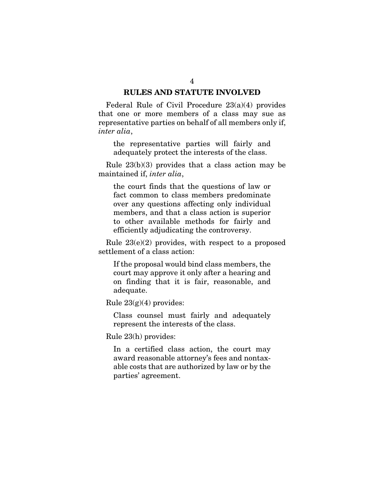### RULES AND STATUTE INVOLVED

Federal Rule of Civil Procedure 23(a)(4) provides that one or more members of a class may sue as representative parties on behalf of all members only if, *inter alia*,

the representative parties will fairly and adequately protect the interests of the class.

Rule 23(b)(3) provides that a class action may be maintained if, *inter alia*,

the court finds that the questions of law or fact common to class members predominate over any questions affecting only individual members, and that a class action is superior to other available methods for fairly and efficiently adjudicating the controversy.

Rule  $23(e)(2)$  provides, with respect to a proposed settlement of a class action:

If the proposal would bind class members, the court may approve it only after a hearing and on finding that it is fair, reasonable, and adequate.

Rule  $23(g)(4)$  provides:

Class counsel must fairly and adequately represent the interests of the class.

Rule 23(h) provides:

In a certified class action, the court may award reasonable attorney's fees and nontaxable costs that are authorized by law or by the parties' agreement.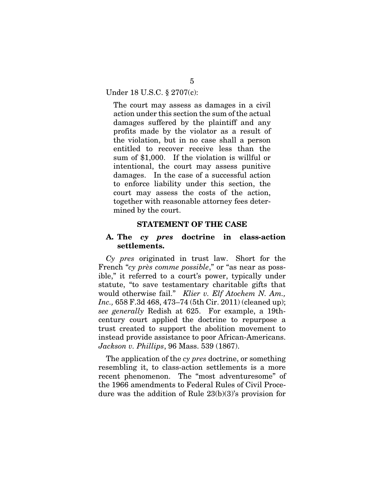Under 18 U.S.C. § 2707(c):

The court may assess as damages in a civil action under this section the sum of the actual damages suffered by the plaintiff and any profits made by the violator as a result of the violation, but in no case shall a person entitled to recover receive less than the sum of \$1,000. If the violation is willful or intentional, the court may assess punitive damages. In the case of a successful action to enforce liability under this section, the court may assess the costs of the action, together with reasonable attorney fees determined by the court.

#### STATEMENT OF THE CASE

### A. The *cy pres* doctrine in class-action settlements.

*Cy pres* originated in trust law. Short for the French "*cy près comme possible*," or "as near as possible," it referred to a court's power, typically under statute, "to save testamentary charitable gifts that would otherwise fail." *Klier v. Elf Atochem N. Am., Inc.,* 658 F.3d 468, 473–74 (5th Cir. 2011) (cleaned up); *see generally* Redish at 625. For example, a 19thcentury court applied the doctrine to repurpose a trust created to support the abolition movement to instead provide assistance to poor African-Americans. *Jackson v. Phillips*, 96 Mass. 539 (1867).

The application of the *cy pres* doctrine, or something resembling it, to class-action settlements is a more recent phenomenon. The "most adventuresome" of the 1966 amendments to Federal Rules of Civil Procedure was the addition of Rule 23(b)(3)'s provision for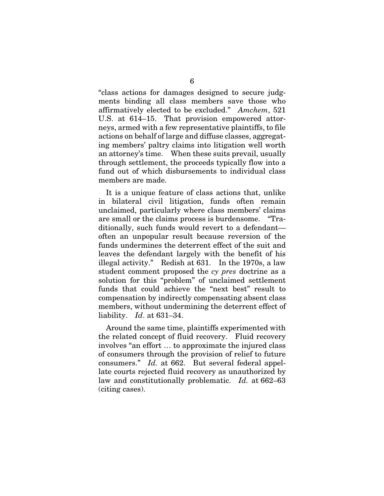"class actions for damages designed to secure judgments binding all class members save those who affirmatively elected to be excluded." *Amchem*, 521 U.S. at 614–15. That provision empowered attorneys, armed with a few representative plaintiffs, to file actions on behalf of large and diffuse classes, aggregating members' paltry claims into litigation well worth an attorney's time. When these suits prevail, usually through settlement, the proceeds typically flow into a fund out of which disbursements to individual class members are made.

It is a unique feature of class actions that, unlike in bilateral civil litigation, funds often remain unclaimed, particularly where class members' claims are small or the claims process is burdensome. "Traditionally, such funds would revert to a defendant often an unpopular result because reversion of the funds undermines the deterrent effect of the suit and leaves the defendant largely with the benefit of his illegal activity." Redish at 631. In the 1970s, a law student comment proposed the *cy pres* doctrine as a solution for this "problem" of unclaimed settlement funds that could achieve the "next best" result to compensation by indirectly compensating absent class members, without undermining the deterrent effect of liability. *Id*. at 631–34.

Around the same time, plaintiffs experimented with the related concept of fluid recovery. Fluid recovery involves "an effort … to approximate the injured class of consumers through the provision of relief to future consumers." *Id.* at 662. But several federal appellate courts rejected fluid recovery as unauthorized by law and constitutionally problematic. *Id.* at 662–63 (citing cases).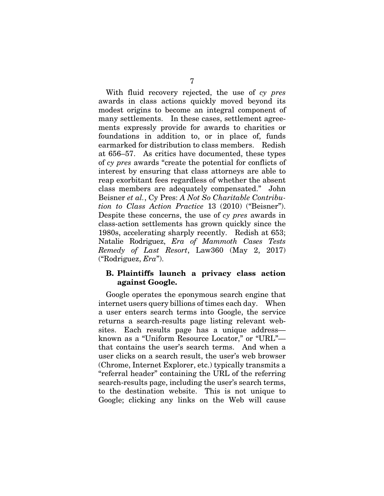With fluid recovery rejected, the use of *cy pres* awards in class actions quickly moved beyond its modest origins to become an integral component of many settlements. In these cases, settlement agreements expressly provide for awards to charities or foundations in addition to, or in place of, funds earmarked for distribution to class members. Redish at 656–57. As critics have documented, these types of *cy pres* awards "create the potential for conflicts of interest by ensuring that class attorneys are able to reap exorbitant fees regardless of whether the absent class members are adequately compensated." John Beisner *et al.*, Cy Pres: *A Not So Charitable Contribution to Class Action Practice* 13 (2010) ("Beisner"). Despite these concerns, the use of *cy pres* awards in class-action settlements has grown quickly since the 1980s, accelerating sharply recently. Redish at 653; Natalie Rodriguez, *Era of Mammoth Cases Tests Remedy of Last Resort*, Law360 (May 2, 2017) ("Rodriguez, *Era*").

### B. Plaintiffs launch a privacy class action against Google.

Google operates the eponymous search engine that internet users query billions of times each day. When a user enters search terms into Google, the service returns a search-results page listing relevant websites. Each results page has a unique address known as a "Uniform Resource Locator," or "URL" that contains the user's search terms. And when a user clicks on a search result, the user's web browser (Chrome, Internet Explorer, etc.) typically transmits a "referral header" containing the URL of the referring search-results page, including the user's search terms, to the destination website. This is not unique to Google; clicking any links on the Web will cause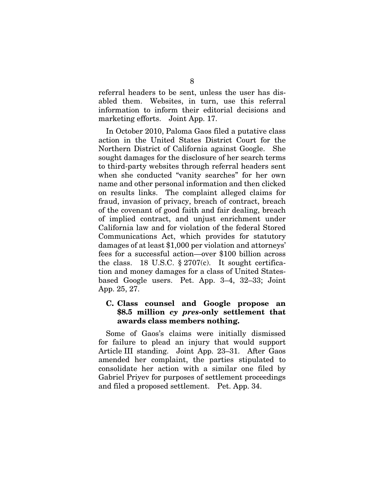referral headers to be sent, unless the user has disabled them. Websites, in turn, use this referral information to inform their editorial decisions and marketing efforts. Joint App. 17.

In October 2010, Paloma Gaos filed a putative class action in the United States District Court for the Northern District of California against Google. She sought damages for the disclosure of her search terms to third-party websites through referral headers sent when she conducted "vanity searches" for her own name and other personal information and then clicked on results links. The complaint alleged claims for fraud, invasion of privacy, breach of contract, breach of the covenant of good faith and fair dealing, breach of implied contract, and unjust enrichment under California law and for violation of the federal Stored Communications Act, which provides for statutory damages of at least \$1,000 per violation and attorneys' fees for a successful action—over \$100 billion across the class. 18 U.S.C.  $\S 2707(c)$ . It sought certification and money damages for a class of United Statesbased Google users. Pet. App. 3–4, 32–33; Joint App. 25, 27.

### C. Class counsel and Google propose an \$8.5 million *cy pres*-only settlement that awards class members nothing.

Some of Gaos's claims were initially dismissed for failure to plead an injury that would support Article III standing. Joint App. 23–31. After Gaos amended her complaint, the parties stipulated to consolidate her action with a similar one filed by Gabriel Priyev for purposes of settlement proceedings and filed a proposed settlement. Pet. App. 34.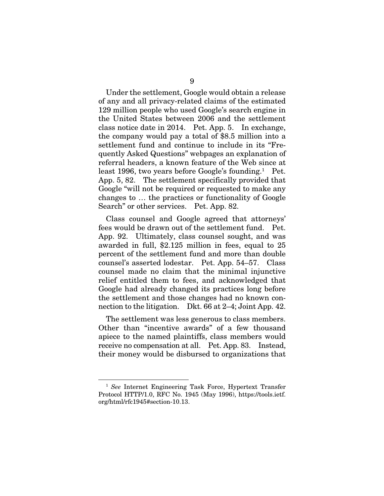Under the settlement, Google would obtain a release of any and all privacy-related claims of the estimated 129 million people who used Google's search engine in the United States between 2006 and the settlement class notice date in 2014. Pet. App. 5. In exchange, the company would pay a total of \$8.5 million into a settlement fund and continue to include in its "Frequently Asked Questions" webpages an explanation of referral headers, a known feature of the Web since at least 1996, two years before Google's founding.<sup>1</sup> Pet. App. 5, 82. The settlement specifically provided that Google "will not be required or requested to make any changes to … the practices or functionality of Google Search" or other services. Pet. App. 82.

Class counsel and Google agreed that attorneys' fees would be drawn out of the settlement fund. Pet. App. 92. Ultimately, class counsel sought, and was awarded in full, \$2.125 million in fees, equal to 25 percent of the settlement fund and more than double counsel's asserted lodestar. Pet. App. 54–57. Class counsel made no claim that the minimal injunctive relief entitled them to fees, and acknowledged that Google had already changed its practices long before the settlement and those changes had no known connection to the litigation. Dkt. 66 at 2–4; Joint App. 42.

The settlement was less generous to class members. Other than "incentive awards" of a few thousand apiece to the named plaintiffs, class members would receive no compensation at all. Pet. App. 83. Instead, their money would be disbursed to organizations that

<sup>1</sup> *See* Internet Engineering Task Force, Hypertext Transfer Protocol HTTP/1.0, RFC No. 1945 (May 1996), https://tools.ietf. org/html/rfc1945#section-10.13.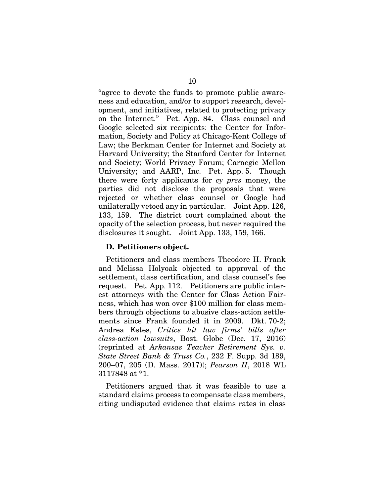"agree to devote the funds to promote public awareness and education, and/or to support research, development, and initiatives, related to protecting privacy on the Internet." Pet. App. 84. Class counsel and Google selected six recipients: the Center for Information, Society and Policy at Chicago-Kent College of Law; the Berkman Center for Internet and Society at Harvard University; the Stanford Center for Internet and Society; World Privacy Forum; Carnegie Mellon University; and AARP, Inc. Pet. App. 5. Though there were forty applicants for *cy pres* money, the parties did not disclose the proposals that were rejected or whether class counsel or Google had unilaterally vetoed any in particular. Joint App. 126, 133, 159. The district court complained about the opacity of the selection process, but never required the disclosures it sought. Joint App. 133, 159, 166.

### D. Petitioners object.

Petitioners and class members Theodore H. Frank and Melissa Holyoak objected to approval of the settlement, class certification, and class counsel's fee request. Pet. App. 112. Petitioners are public interest attorneys with the Center for Class Action Fairness, which has won over \$100 million for class members through objections to abusive class-action settlements since Frank founded it in 2009. Dkt. 70-2; Andrea Estes, *Critics hit law firms' bills after class-action lawsuits*, Bost. Globe (Dec. 17, 2016) (reprinted at *Arkansas Teacher Retirement Sys. v. State Street Bank & Trust Co.*, 232 F. Supp. 3d 189, 200–07, 205 (D. Mass. 2017)); *Pearson II*, 2018 WL 3117848 at \*1.

Petitioners argued that it was feasible to use a standard claims process to compensate class members, citing undisputed evidence that claims rates in class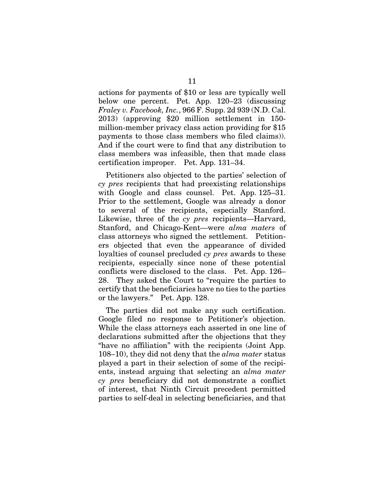actions for payments of \$10 or less are typically well below one percent. Pet. App. 120–23 (discussing *Fraley v. Facebook, Inc.*, 966 F. Supp. 2d 939 (N.D. Cal. 2013) (approving \$20 million settlement in 150 million-member privacy class action providing for \$15 payments to those class members who filed claims)). And if the court were to find that any distribution to class members was infeasible, then that made class certification improper. Pet. App. 131–34.

Petitioners also objected to the parties' selection of *cy pres* recipients that had preexisting relationships with Google and class counsel. Pet. App. 125–31. Prior to the settlement, Google was already a donor to several of the recipients, especially Stanford. Likewise, three of the *cy pres* recipients—Harvard, Stanford, and Chicago-Kent—were *alma maters* of class attorneys who signed the settlement. Petitioners objected that even the appearance of divided loyalties of counsel precluded *cy pres* awards to these recipients, especially since none of these potential conflicts were disclosed to the class. Pet. App. 126– 28. They asked the Court to "require the parties to certify that the beneficiaries have no ties to the parties or the lawyers." Pet. App. 128.

The parties did not make any such certification. Google filed no response to Petitioner's objection. While the class attorneys each asserted in one line of declarations submitted after the objections that they "have no affiliation" with the recipients (Joint App. 108–10), they did not deny that the *alma mater* status played a part in their selection of some of the recipients, instead arguing that selecting an *alma mater cy pres* beneficiary did not demonstrate a conflict of interest, that Ninth Circuit precedent permitted parties to self-deal in selecting beneficiaries, and that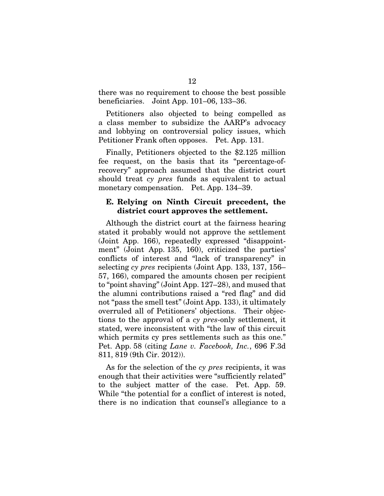there was no requirement to choose the best possible beneficiaries. Joint App. 101–06, 133–36.

Petitioners also objected to being compelled as a class member to subsidize the AARP's advocacy and lobbying on controversial policy issues, which Petitioner Frank often opposes. Pet. App. 131.

Finally, Petitioners objected to the \$2.125 million fee request, on the basis that its "percentage-ofrecovery" approach assumed that the district court should treat *cy pres* funds as equivalent to actual monetary compensation. Pet. App. 134–39.

### E. Relying on Ninth Circuit precedent, the district court approves the settlement.

Although the district court at the fairness hearing stated it probably would not approve the settlement (Joint App. 166), repeatedly expressed "disappointment" (Joint App. 135, 160), criticized the parties' conflicts of interest and "lack of transparency" in selecting *cy pres* recipients (Joint App. 133, 137, 156– 57, 166), compared the amounts chosen per recipient to "point shaving" (Joint App. 127–28), and mused that the alumni contributions raised a "red flag" and did not "pass the smell test" (Joint App. 133), it ultimately overruled all of Petitioners' objections. Their objections to the approval of a *cy pres*-only settlement, it stated, were inconsistent with "the law of this circuit which permits cy pres settlements such as this one." Pet. App. 58 (citing *Lane v. Facebook, Inc.*, 696 F.3d 811, 819 (9th Cir. 2012)).

As for the selection of the *cy pres* recipients, it was enough that their activities were "sufficiently related" to the subject matter of the case. Pet. App. 59. While "the potential for a conflict of interest is noted, there is no indication that counsel's allegiance to a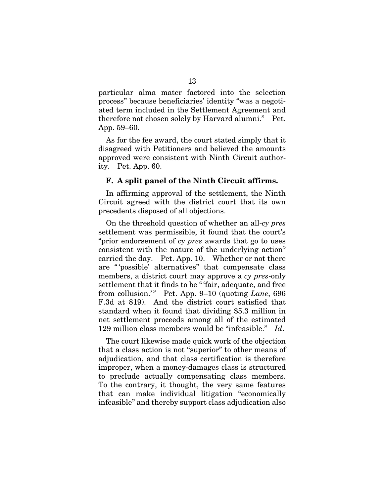particular alma mater factored into the selection process" because beneficiaries' identity "was a negotiated term included in the Settlement Agreement and therefore not chosen solely by Harvard alumni." Pet. App. 59–60.

As for the fee award, the court stated simply that it disagreed with Petitioners and believed the amounts approved were consistent with Ninth Circuit authority. Pet. App. 60.

#### F. A split panel of the Ninth Circuit affirms.

In affirming approval of the settlement, the Ninth Circuit agreed with the district court that its own precedents disposed of all objections.

On the threshold question of whether an all-*cy pres* settlement was permissible, it found that the court's "prior endorsement of *cy pres* awards that go to uses consistent with the nature of the underlying action" carried the day. Pet. App. 10. Whether or not there are "'possible' alternatives" that compensate class members, a district court may approve a *cy pres*-only settlement that it finds to be "'fair, adequate, and free from collusion.'" Pet. App. 9–10 (quoting *Lane*, 696 F.3d at 819). And the district court satisfied that standard when it found that dividing \$5.3 million in net settlement proceeds among all of the estimated 129 million class members would be "infeasible." *Id*.

The court likewise made quick work of the objection that a class action is not "superior" to other means of adjudication, and that class certification is therefore improper, when a money-damages class is structured to preclude actually compensating class members. To the contrary, it thought, the very same features that can make individual litigation "economically infeasible" and thereby support class adjudication also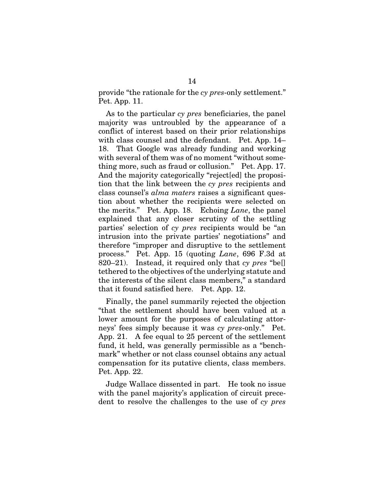provide "the rationale for the *cy pres*-only settlement." Pet. App. 11.

As to the particular *cy pres* beneficiaries, the panel majority was untroubled by the appearance of a conflict of interest based on their prior relationships with class counsel and the defendant. Pet. App. 14– 18. That Google was already funding and working with several of them was of no moment "without something more, such as fraud or collusion." Pet. App. 17. And the majority categorically "reject[ed] the proposition that the link between the *cy pres* recipients and class counsel's *alma maters* raises a significant question about whether the recipients were selected on the merits." Pet. App. 18. Echoing *Lane*, the panel explained that any closer scrutiny of the settling parties' selection of *cy pres* recipients would be "an intrusion into the private parties' negotiations" and therefore "improper and disruptive to the settlement process." Pet. App. 15 (quoting *Lane*, 696 F.3d at 820–21). Instead, it required only that *cy pres* "be[] tethered to the objectives of the underlying statute and the interests of the silent class members," a standard that it found satisfied here. Pet. App. 12.

Finally, the panel summarily rejected the objection "that the settlement should have been valued at a lower amount for the purposes of calculating attorneys' fees simply because it was *cy pres*-only." Pet. App. 21. A fee equal to 25 percent of the settlement fund, it held, was generally permissible as a "benchmark" whether or not class counsel obtains any actual compensation for its putative clients, class members. Pet. App. 22.

Judge Wallace dissented in part. He took no issue with the panel majority's application of circuit precedent to resolve the challenges to the use of *cy pres*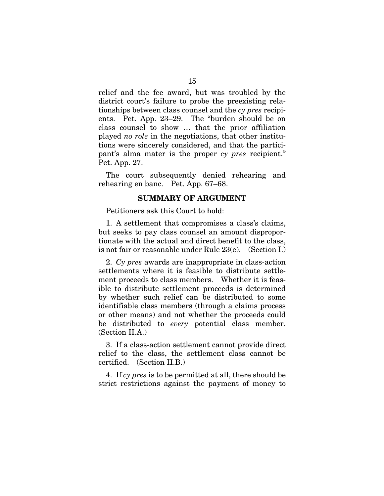relief and the fee award, but was troubled by the district court's failure to probe the preexisting relationships between class counsel and the *cy pres* recipients. Pet. App. 23–29. The "burden should be on class counsel to show … that the prior affiliation played *no role* in the negotiations, that other institutions were sincerely considered, and that the participant's alma mater is the proper *cy pres* recipient." Pet. App. 27.

The court subsequently denied rehearing and rehearing en banc. Pet. App. 67–68.

#### SUMMARY OF ARGUMENT

Petitioners ask this Court to hold:

1. A settlement that compromises a class's claims, but seeks to pay class counsel an amount disproportionate with the actual and direct benefit to the class, is not fair or reasonable under Rule 23(e). (Section I.)

2. *Cy pres* awards are inappropriate in class-action settlements where it is feasible to distribute settlement proceeds to class members. Whether it is feasible to distribute settlement proceeds is determined by whether such relief can be distributed to some identifiable class members (through a claims process or other means) and not whether the proceeds could be distributed to *every* potential class member. (Section II.A.)

3. If a class-action settlement cannot provide direct relief to the class, the settlement class cannot be certified. (Section II.B.)

4. If *cy pres* is to be permitted at all, there should be strict restrictions against the payment of money to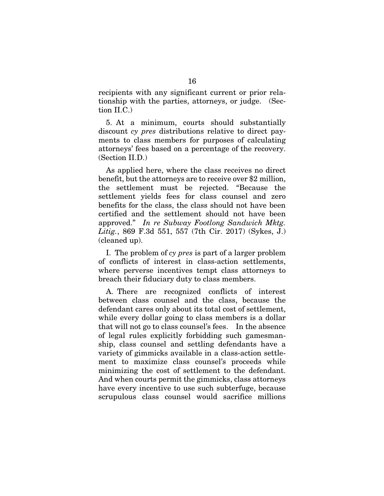recipients with any significant current or prior relationship with the parties, attorneys, or judge. (Section II.C.)

5. At a minimum, courts should substantially discount *cy pres* distributions relative to direct payments to class members for purposes of calculating attorneys' fees based on a percentage of the recovery. (Section II.D.)

As applied here, where the class receives no direct benefit, but the attorneys are to receive over \$2 million, the settlement must be rejected. "Because the settlement yields fees for class counsel and zero benefits for the class, the class should not have been certified and the settlement should not have been approved." *In re Subway Footlong Sandwich Mktg. Litig.*, 869 F.3d 551, 557 (7th Cir. 2017) (Sykes, J.) (cleaned up).

I. The problem of *cy pres* is part of a larger problem of conflicts of interest in class-action settlements, where perverse incentives tempt class attorneys to breach their fiduciary duty to class members.

A. There are recognized conflicts of interest between class counsel and the class, because the defendant cares only about its total cost of settlement, while every dollar going to class members is a dollar that will not go to class counsel's fees. In the absence of legal rules explicitly forbidding such gamesmanship, class counsel and settling defendants have a variety of gimmicks available in a class-action settlement to maximize class counsel's proceeds while minimizing the cost of settlement to the defendant. And when courts permit the gimmicks, class attorneys have every incentive to use such subterfuge, because scrupulous class counsel would sacrifice millions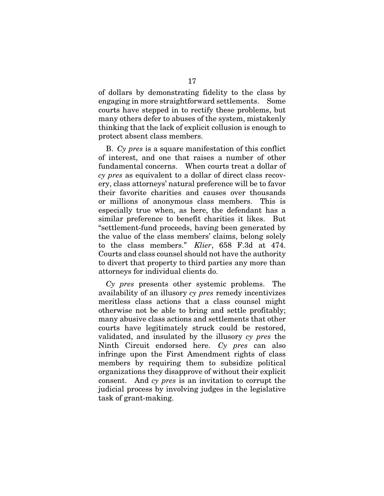of dollars by demonstrating fidelity to the class by engaging in more straightforward settlements. Some courts have stepped in to rectify these problems, but many others defer to abuses of the system, mistakenly thinking that the lack of explicit collusion is enough to protect absent class members.

B. *Cy pres* is a square manifestation of this conflict of interest, and one that raises a number of other fundamental concerns. When courts treat a dollar of *cy pres* as equivalent to a dollar of direct class recovery, class attorneys' natural preference will be to favor their favorite charities and causes over thousands or millions of anonymous class members. This is especially true when, as here, the defendant has a similar preference to benefit charities it likes. But "settlement-fund proceeds, having been generated by the value of the class members' claims, belong solely to the class members." *Klier*, 658 F.3d at 474. Courts and class counsel should not have the authority to divert that property to third parties any more than attorneys for individual clients do.

*Cy pres* presents other systemic problems. The availability of an illusory *cy pres* remedy incentivizes meritless class actions that a class counsel might otherwise not be able to bring and settle profitably; many abusive class actions and settlements that other courts have legitimately struck could be restored, validated, and insulated by the illusory *cy pres* the Ninth Circuit endorsed here. *Cy pres* can also infringe upon the First Amendment rights of class members by requiring them to subsidize political organizations they disapprove of without their explicit consent. And *cy pres* is an invitation to corrupt the judicial process by involving judges in the legislative task of grant-making.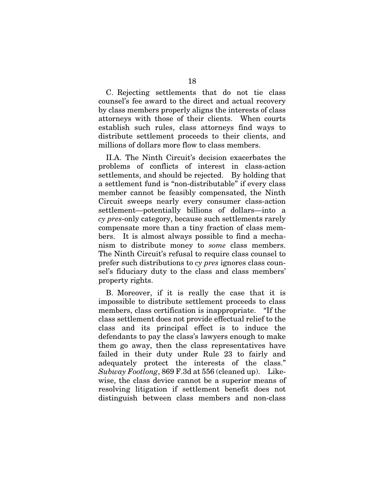C. Rejecting settlements that do not tie class counsel's fee award to the direct and actual recovery by class members properly aligns the interests of class attorneys with those of their clients. When courts establish such rules, class attorneys find ways to distribute settlement proceeds to their clients, and millions of dollars more flow to class members.

II.A. The Ninth Circuit's decision exacerbates the problems of conflicts of interest in class-action settlements, and should be rejected. By holding that a settlement fund is "non-distributable" if every class member cannot be feasibly compensated, the Ninth Circuit sweeps nearly every consumer class-action settlement—potentially billions of dollars—into a *cy pres*-only category, because such settlements rarely compensate more than a tiny fraction of class members. It is almost always possible to find a mechanism to distribute money to *some* class members. The Ninth Circuit's refusal to require class counsel to prefer such distributions to *cy pres* ignores class counsel's fiduciary duty to the class and class members' property rights.

B. Moreover, if it is really the case that it is impossible to distribute settlement proceeds to class members, class certification is inappropriate. "If the class settlement does not provide effectual relief to the class and its principal effect is to induce the defendants to pay the class's lawyers enough to make them go away, then the class representatives have failed in their duty under Rule 23 to fairly and adequately protect the interests of the class." *Subway Footlong*, 869 F.3d at 556 (cleaned up). Likewise, the class device cannot be a superior means of resolving litigation if settlement benefit does not distinguish between class members and non-class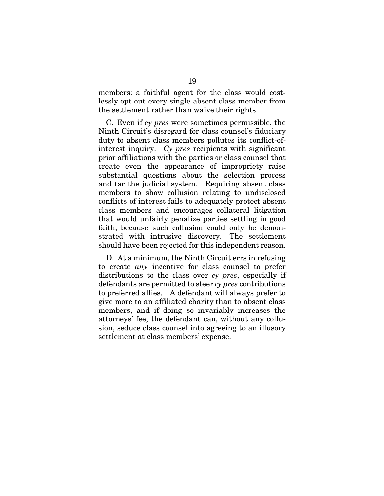members: a faithful agent for the class would costlessly opt out every single absent class member from the settlement rather than waive their rights.

C. Even if *cy pres* were sometimes permissible, the Ninth Circuit's disregard for class counsel's fiduciary duty to absent class members pollutes its conflict-ofinterest inquiry. *Cy pres* recipients with significant prior affiliations with the parties or class counsel that create even the appearance of impropriety raise substantial questions about the selection process and tar the judicial system. Requiring absent class members to show collusion relating to undisclosed conflicts of interest fails to adequately protect absent class members and encourages collateral litigation that would unfairly penalize parties settling in good faith, because such collusion could only be demonstrated with intrusive discovery. The settlement should have been rejected for this independent reason.

D. At a minimum, the Ninth Circuit errs in refusing to create *any* incentive for class counsel to prefer distributions to the class over *cy pres*, especially if defendants are permitted to steer *cy pres* contributions to preferred allies. A defendant will always prefer to give more to an affiliated charity than to absent class members, and if doing so invariably increases the attorneys' fee, the defendant can, without any collusion, seduce class counsel into agreeing to an illusory settlement at class members' expense.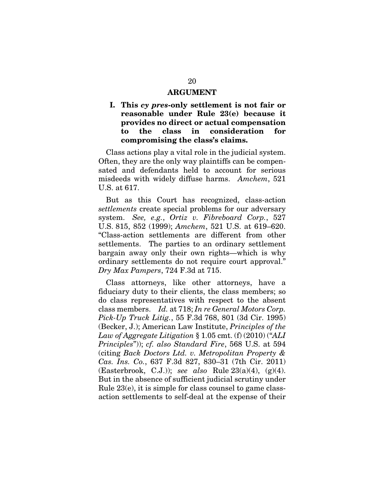#### ARGUMENT

### I. This *cy pres*-only settlement is not fair or reasonable under Rule 23(e) because it provides no direct or actual compensation to the class in consideration for compromising the class's claims.

Class actions play a vital role in the judicial system. Often, they are the only way plaintiffs can be compensated and defendants held to account for serious misdeeds with widely diffuse harms. *Amchem*, 521 U.S. at 617.

But as this Court has recognized, class-action *settlements* create special problems for our adversary system. *See, e.g.*, *Ortiz v. Fibreboard Corp.*, 527 U.S. 815, 852 (1999); *Amchem*, 521 U.S. at 619–620. "Class-action settlements are different from other settlements. The parties to an ordinary settlement bargain away only their own rights—which is why ordinary settlements do not require court approval." *Dry Max Pampers*, 724 F.3d at 715.

Class attorneys, like other attorneys, have a fiduciary duty to their clients, the class members; so do class representatives with respect to the absent class members. *Id.* at 718; *In re General Motors Corp. Pick-Up Truck Litig.*, 55 F.3d 768, 801 (3d Cir. 1995) (Becker, J.); American Law Institute, *Principles of the Law of Aggregate Litigation* § 1.05 cmt. (f) (2010) ("*ALI Principles*")); *cf. also Standard Fire*, 568 U.S. at 594 (citing *Back Doctors Ltd. v. Metropolitan Property & Cas. Ins. Co.*, 637 F.3d 827, 830–31 (7th Cir. 2011) (Easterbrook, C.J.)); *see also* Rule 23(a)(4), (g)(4). But in the absence of sufficient judicial scrutiny under Rule 23(e), it is simple for class counsel to game classaction settlements to self-deal at the expense of their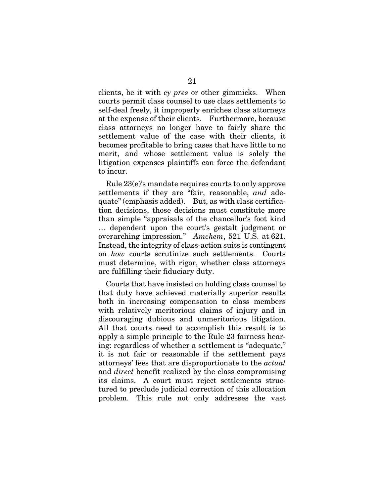clients, be it with *cy pres* or other gimmicks. When courts permit class counsel to use class settlements to self-deal freely, it improperly enriches class attorneys at the expense of their clients. Furthermore, because class attorneys no longer have to fairly share the settlement value of the case with their clients, it becomes profitable to bring cases that have little to no merit, and whose settlement value is solely the litigation expenses plaintiffs can force the defendant to incur.

Rule 23(e)'s mandate requires courts to only approve settlements if they are "fair, reasonable, *and* adequate" (emphasis added). But, as with class certification decisions, those decisions must constitute more than simple "appraisals of the chancellor's foot kind … dependent upon the court's gestalt judgment or overarching impression." *Amchem*, 521 U.S. at 621. Instead, the integrity of class-action suits is contingent on *how* courts scrutinize such settlements. Courts must determine, with rigor, whether class attorneys are fulfilling their fiduciary duty.

Courts that have insisted on holding class counsel to that duty have achieved materially superior results both in increasing compensation to class members with relatively meritorious claims of injury and in discouraging dubious and unmeritorious litigation. All that courts need to accomplish this result is to apply a simple principle to the Rule 23 fairness hearing: regardless of whether a settlement is "adequate," it is not fair or reasonable if the settlement pays attorneys' fees that are disproportionate to the *actual*  and *direct* benefit realized by the class compromising its claims. A court must reject settlements structured to preclude judicial correction of this allocation problem. This rule not only addresses the vast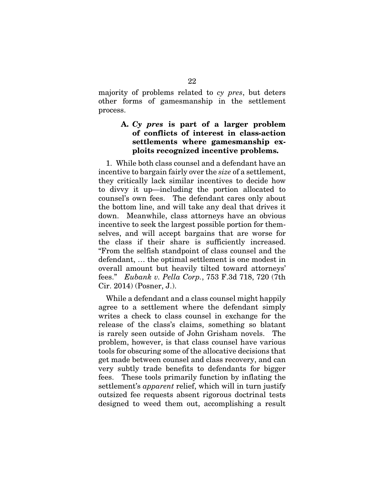majority of problems related to *cy pres*, but deters other forms of gamesmanship in the settlement process.

## A. *Cy pres* is part of a larger problem of conflicts of interest in class-action settlements where gamesmanship exploits recognized incentive problems.

1. While both class counsel and a defendant have an incentive to bargain fairly over the *size* of a settlement, they critically lack similar incentives to decide how to divvy it up—including the portion allocated to counsel's own fees. The defendant cares only about the bottom line, and will take any deal that drives it down. Meanwhile, class attorneys have an obvious incentive to seek the largest possible portion for themselves, and will accept bargains that are worse for the class if their share is sufficiently increased. "From the selfish standpoint of class counsel and the defendant, … the optimal settlement is one modest in overall amount but heavily tilted toward attorneys' fees." *Eubank v. Pella Corp.*, 753 F.3d 718, 720 (7th Cir. 2014) (Posner, J.).

While a defendant and a class counsel might happily agree to a settlement where the defendant simply writes a check to class counsel in exchange for the release of the class's claims, something so blatant is rarely seen outside of John Grisham novels. The problem, however, is that class counsel have various tools for obscuring some of the allocative decisions that get made between counsel and class recovery, and can very subtly trade benefits to defendants for bigger fees. These tools primarily function by inflating the settlement's *apparent* relief, which will in turn justify outsized fee requests absent rigorous doctrinal tests designed to weed them out, accomplishing a result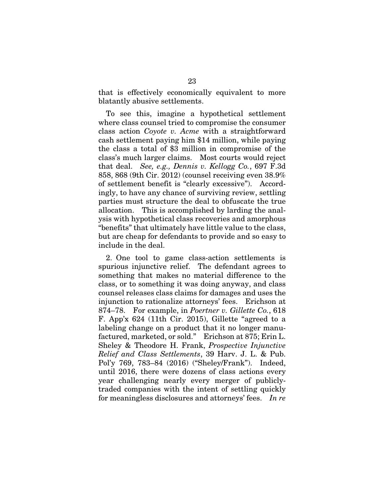that is effectively economically equivalent to more blatantly abusive settlements.

To see this, imagine a hypothetical settlement where class counsel tried to compromise the consumer class action *Coyote v. Acme* with a straightforward cash settlement paying him \$14 million, while paying the class a total of \$3 million in compromise of the class's much larger claims. Most courts would reject that deal. *See, e.g., Dennis v. Kellogg Co.*, 697 F.3d 858, 868 (9th Cir. 2012) (counsel receiving even 38.9% of settlement benefit is "clearly excessive"). Accordingly, to have any chance of surviving review, settling parties must structure the deal to obfuscate the true allocation. This is accomplished by larding the analysis with hypothetical class recoveries and amorphous "benefits" that ultimately have little value to the class, but are cheap for defendants to provide and so easy to include in the deal.

2. One tool to game class-action settlements is spurious injunctive relief. The defendant agrees to something that makes no material difference to the class, or to something it was doing anyway, and class counsel releases class claims for damages and uses the injunction to rationalize attorneys' fees. Erichson at 874–78. For example, in *Poertner v. Gillette Co.*, 618 F. App'x 624 (11th Cir. 2015), Gillette "agreed to a labeling change on a product that it no longer manufactured, marketed, or sold." Erichson at 875; Erin L. Sheley & Theodore H. Frank, *Prospective Injunctive Relief and Class Settlements*, 39 Harv. J. L. & Pub. Pol'y 769, 783–84 (2016) ("Sheley/Frank"). Indeed, until 2016, there were dozens of class actions every year challenging nearly every merger of publiclytraded companies with the intent of settling quickly for meaningless disclosures and attorneys' fees. *In re*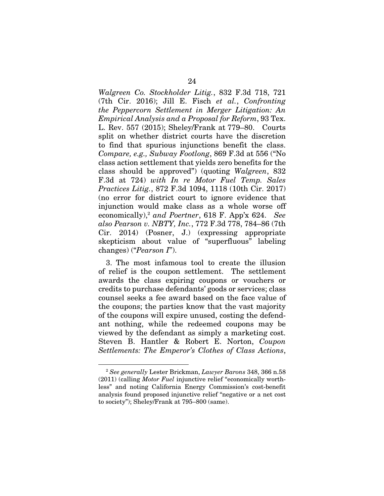*Walgreen Co. Stockholder Litig.*, 832 F.3d 718, 721 (7th Cir. 2016); Jill E. Fisch *et al.*, *Confronting the Peppercorn Settlement in Merger Litigation: An Empirical Analysis and a Proposal for Reform*, 93 Tex. L. Rev. 557 (2015); Sheley/Frank at 779–80. Courts split on whether district courts have the discretion to find that spurious injunctions benefit the class. *Compare, e.g., Subway Footlong*, 869 F.3d at 556 ("No class action settlement that yields zero benefits for the class should be approved") (quoting *Walgreen*, 832 F.3d at 724) *with In re Motor Fuel Temp. Sales Practices Litig.*, 872 F.3d 1094, 1118 (10th Cir. 2017) (no error for district court to ignore evidence that injunction would make class as a whole worse off economically),2 *and Poertner*, 618 F. App'x 624. *See also Pearson v. NBTY, Inc.*, 772 F.3d 778, 784–86 (7th Cir. 2014) (Posner, J.) (expressing appropriate skepticism about value of "superfluous" labeling changes) ("*Pearson I*").

3. The most infamous tool to create the illusion of relief is the coupon settlement. The settlement awards the class expiring coupons or vouchers or credits to purchase defendants' goods or services; class counsel seeks a fee award based on the face value of the coupons; the parties know that the vast majority of the coupons will expire unused, costing the defendant nothing, while the redeemed coupons may be viewed by the defendant as simply a marketing cost. Steven B. Hantler & Robert E. Norton, *Coupon Settlements: The Emperor's Clothes of Class Actions*,

<sup>2</sup> *See generally* Lester Brickman, *Lawyer Barons* 348, 366 n.58 (2011) (calling *Motor Fuel* injunctive relief "economically worthless" and noting California Energy Commission's cost-benefit analysis found proposed injunctive relief "negative or a net cost to society"); Sheley/Frank at 795–800 (same).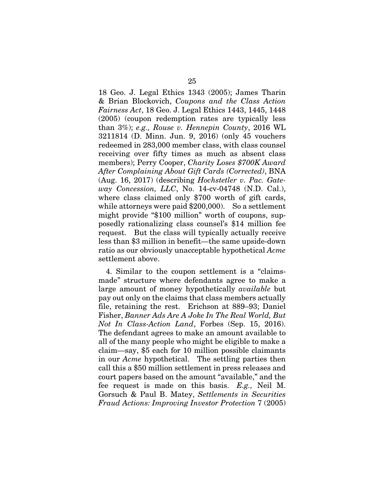18 Geo. J. Legal Ethics 1343 (2005); James Tharin & Brian Blockovich, *Coupons and the Class Action Fairness Act*, 18 Geo. J. Legal Ethics 1443, 1445, 1448 (2005) (coupon redemption rates are typically less than 3%); *e.g., Rouse v. Hennepin County*, 2016 WL 3211814 (D. Minn. Jun. 9, 2016) (only 45 vouchers redeemed in 283,000 member class, with class counsel receiving over fifty times as much as absent class members); Perry Cooper, *Charity Loses \$700K Award After Complaining About Gift Cards (Corrected)*, BNA (Aug. 16, 2017) (describing *Hochstetler v. Pac. Gateway Concession, LLC*, No. 14-cv-04748 (N.D. Cal.), where class claimed only \$700 worth of gift cards, while attorneys were paid \$200,000). So a settlement might provide "\$100 million" worth of coupons, supposedly rationalizing class counsel's \$14 million fee request. But the class will typically actually receive less than \$3 million in benefit—the same upside-down ratio as our obviously unacceptable hypothetical *Acme*  settlement above.

4. Similar to the coupon settlement is a "claimsmade" structure where defendants agree to make a large amount of money hypothetically *available* but pay out only on the claims that class members actually file, retaining the rest. Erichson at 889–93; Daniel Fisher, *Banner Ads Are A Joke In The Real World, But Not In Class-Action Land*, Forbes (Sep. 15, 2016). The defendant agrees to make an amount available to all of the many people who might be eligible to make a claim—say, \$5 each for 10 million possible claimants in our *Acme* hypothetical. The settling parties then call this a \$50 million settlement in press releases and court papers based on the amount "available," and the fee request is made on this basis. *E.g.,* Neil M. Gorsuch & Paul B. Matey, *Settlements in Securities Fraud Actions: Improving Investor Protection* 7 (2005)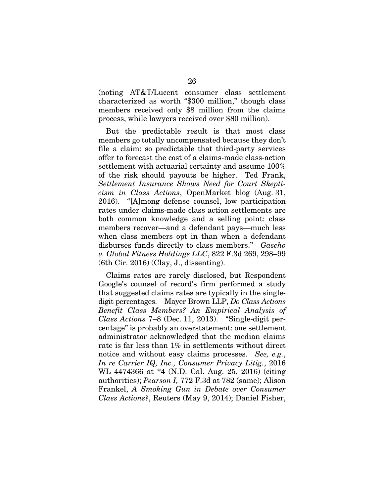(noting AT&T/Lucent consumer class settlement characterized as worth "\$300 million," though class members received only \$8 million from the claims process, while lawyers received over \$80 million).

But the predictable result is that most class members go totally uncompensated because they don't file a claim: so predictable that third-party services offer to forecast the cost of a claims-made class-action settlement with actuarial certainty and assume 100% of the risk should payouts be higher. Ted Frank, *Settlement Insurance Shows Need for Court Skepticism in Class Actions*, OpenMarket blog (Aug. 31, 2016). "[A]mong defense counsel, low participation rates under claims-made class action settlements are both common knowledge and a selling point: class members recover—and a defendant pays—much less when class members opt in than when a defendant disburses funds directly to class members." *Gascho v. Global Fitness Holdings LLC*, 822 F.3d 269, 298–99 (6th Cir. 2016) (Clay, J., dissenting).

Claims rates are rarely disclosed, but Respondent Google's counsel of record's firm performed a study that suggested claims rates are typically in the singledigit percentages. Mayer Brown LLP, *Do Class Actions Benefit Class Members? An Empirical Analysis of Class Actions* 7–8 (Dec. 11, 2013). "Single-digit percentage" is probably an overstatement: one settlement administrator acknowledged that the median claims rate is far less than 1% in settlements without direct notice and without easy claims processes. *See, e.g.*, *In re Carrier IQ, Inc., Consumer Privacy Litig.*, 2016 WL 4474366 at \*4 (N.D. Cal. Aug. 25, 2016) (citing authorities); *Pearson I,* 772 F.3d at 782 (same); Alison Frankel, *A Smoking Gun in Debate over Consumer Class Actions?*, Reuters (May 9, 2014); Daniel Fisher,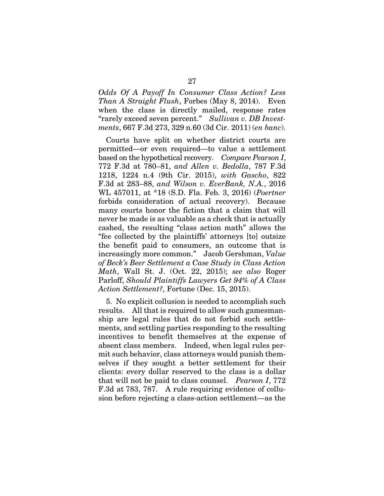*Odds Of A Payoff In Consumer Class Action? Less Than A Straight Flush*, Forbes (May 8, 2014). Even when the class is directly mailed, response rates "rarely exceed seven percent." *Sullivan v. DB Investments*, 667 F.3d 273, 329 n.60 (3d Cir. 2011) (*en banc*).

Courts have split on whether district courts are permitted—or even required—to value a settlement based on the hypothetical recovery. *Compare Pearson I*, 772 F.3d at 780–81, *and Allen v. Bedolla*, 787 F.3d 1218, 1224 n.4 (9th Cir. 2015), *with Gascho*, 822 F.3d at 283–88, *and Wilson v. EverBank, N.A.*, 2016 WL 457011, at \*18 (S.D. Fla. Feb. 3, 2016) (*Poertner*  forbids consideration of actual recovery). Because many courts honor the fiction that a claim that will never be made is as valuable as a check that is actually cashed, the resulting "class action math" allows the "fee collected by the plaintiffs' attorneys [to] outsize the benefit paid to consumers, an outcome that is increasingly more common." Jacob Gershman, *Value of Beck's Beer Settlement a Case Study in Class Action Math*, Wall St. J. (Oct. 22, 2015); *see also* Roger Parloff, *Should Plaintiffs Lawyers Get 94% of A Class Action Settlement?*, Fortune (Dec. 15, 2015).

5. No explicit collusion is needed to accomplish such results. All that is required to allow such gamesmanship are legal rules that do not forbid such settlements, and settling parties responding to the resulting incentives to benefit themselves at the expense of absent class members. Indeed, when legal rules permit such behavior, class attorneys would punish themselves if they sought a better settlement for their clients: every dollar reserved to the class is a dollar that will not be paid to class counsel. *Pearson I*, 772 F.3d at 783, 787. A rule requiring evidence of collusion before rejecting a class-action settlement—as the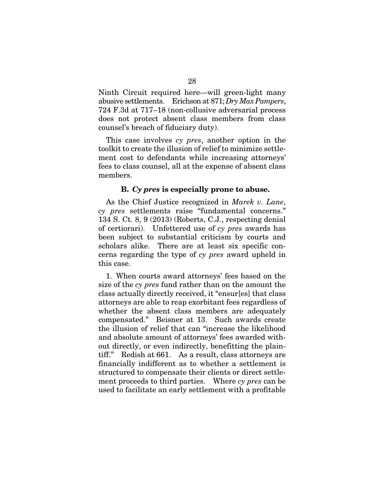Ninth Circuit required here—will green-light many abusive settlements. Erichson at 871; *Dry Max Pampers*, 724 F.3d at 717–18 (non-collusive adversarial process does not protect absent class members from class counsel's breach of fiduciary duty).

This case involves *cy pres*, another option in the toolkit to create the illusion of relief to minimize settlement cost to defendants while increasing attorneys' fees to class counsel, all at the expense of absent class members.

### B. *Cy pres* is especially prone to abuse.

As the Chief Justice recognized in *Marek v. Lane*, *cy pres* settlements raise "fundamental concerns." 134 S. Ct. 8, 9 (2013) (Roberts, C.J., respecting denial of certiorari). Unfettered use of *cy pres* awards has been subject to substantial criticism by courts and scholars alike. There are at least six specific concerns regarding the type of *cy pres* award upheld in this case.

1. When courts award attorneys' fees based on the size of the *cy pres* fund rather than on the amount the class actually directly received, it "ensur[es] that class attorneys are able to reap exorbitant fees regardless of whether the absent class members are adequately compensated." Beisner at 13. Such awards create the illusion of relief that can "increase the likelihood and absolute amount of attorneys' fees awarded without directly, or even indirectly, benefitting the plaintiff." Redish at 661. As a result, class attorneys are financially indifferent as to whether a settlement is structured to compensate their clients or direct settlement proceeds to third parties. Where *cy pres* can be used to facilitate an early settlement with a profitable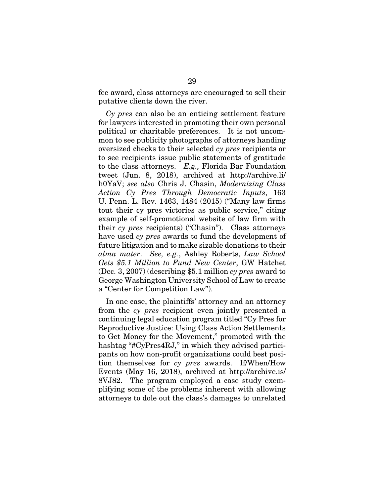fee award, class attorneys are encouraged to sell their putative clients down the river.

*Cy pres* can also be an enticing settlement feature for lawyers interested in promoting their own personal political or charitable preferences. It is not uncommon to see publicity photographs of attorneys handing oversized checks to their selected *cy pres* recipients or to see recipients issue public statements of gratitude to the class attorneys. *E.g.,* Florida Bar Foundation tweet (Jun. 8, 2018), archived at http://archive.li/ h0YaV; *see also* Chris J. Chasin, *Modernizing Class Action Cy Pres Through Democratic Inputs*, 163 U. Penn. L. Rev. 1463, 1484 (2015) ("Many law firms tout their cy pres victories as public service," citing example of self-promotional website of law firm with their *cy pres* recipients) ("Chasin"). Class attorneys have used *cy pres* awards to fund the development of future litigation and to make sizable donations to their *alma mater*. *See, e.g.*, Ashley Roberts, *Law School Gets \$5.1 Million to Fund New Center*, GW Hatchet (Dec. 3, 2007) (describing \$5.1 million *cy pres* award to George Washington University School of Law to create a "Center for Competition Law").

In one case, the plaintiffs' attorney and an attorney from the *cy pres* recipient even jointly presented a continuing legal education program titled "Cy Pres for Reproductive Justice: Using Class Action Settlements to Get Money for the Movement," promoted with the hashtag "#CyPres4RJ," in which they advised participants on how non-profit organizations could best position themselves for *cy pres* awards. If/When/How Events (May 16, 2018), archived at http://archive.is/ 8VJ82. The program employed a case study exemplifying some of the problems inherent with allowing attorneys to dole out the class's damages to unrelated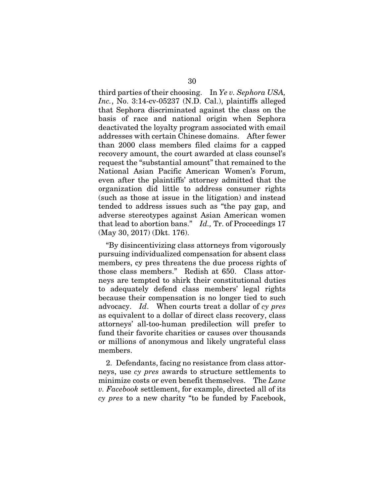third parties of their choosing. In *Ye v. Sephora USA, Inc.*, No. 3:14-cv-05237 (N.D. Cal.), plaintiffs alleged that Sephora discriminated against the class on the basis of race and national origin when Sephora deactivated the loyalty program associated with email addresses with certain Chinese domains. After fewer than 2000 class members filed claims for a capped recovery amount, the court awarded at class counsel's request the "substantial amount" that remained to the National Asian Pacific American Women's Forum, even after the plaintiffs' attorney admitted that the organization did little to address consumer rights (such as those at issue in the litigation) and instead tended to address issues such as "the pay gap, and adverse stereotypes against Asian American women that lead to abortion bans." *Id.,* Tr. of Proceedings 17 (May 30, 2017) (Dkt. 176).

"By disincentivizing class attorneys from vigorously pursuing individualized compensation for absent class members, cy pres threatens the due process rights of those class members." Redish at 650. Class attorneys are tempted to shirk their constitutional duties to adequately defend class members' legal rights because their compensation is no longer tied to such advocacy. *Id*. When courts treat a dollar of *cy pres*  as equivalent to a dollar of direct class recovery, class attorneys' all-too-human predilection will prefer to fund their favorite charities or causes over thousands or millions of anonymous and likely ungrateful class members.

2. Defendants, facing no resistance from class attorneys, use *cy pres* awards to structure settlements to minimize costs or even benefit themselves. The *Lane v. Facebook* settlement, for example, directed all of its *cy pres* to a new charity "to be funded by Facebook,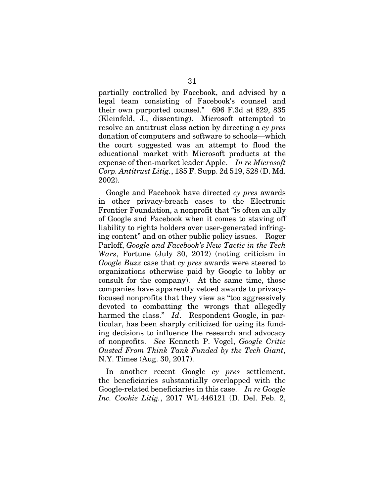partially controlled by Facebook, and advised by a legal team consisting of Facebook's counsel and their own purported counsel." 696 F.3d at 829, 835 (Kleinfeld, J., dissenting). Microsoft attempted to resolve an antitrust class action by directing a *cy pres*  donation of computers and software to schools—which the court suggested was an attempt to flood the educational market with Microsoft products at the expense of then-market leader Apple. *In re Microsoft Corp. Antitrust Litig.*, 185 F. Supp. 2d 519, 528 (D. Md. 2002).

Google and Facebook have directed *cy pres* awards in other privacy-breach cases to the Electronic Frontier Foundation, a nonprofit that "is often an ally of Google and Facebook when it comes to staving off liability to rights holders over user-generated infringing content" and on other public policy issues. Roger Parloff, *Google and Facebook's New Tactic in the Tech Wars*, Fortune (July 30, 2012) (noting criticism in *Google Buzz* case that *cy pres* awards were steered to organizations otherwise paid by Google to lobby or consult for the company). At the same time, those companies have apparently vetoed awards to privacyfocused nonprofits that they view as "too aggressively devoted to combatting the wrongs that allegedly harmed the class." *Id*. Respondent Google, in particular, has been sharply criticized for using its funding decisions to influence the research and advocacy of nonprofits. *See* Kenneth P. Vogel, *Google Critic Ousted From Think Tank Funded by the Tech Giant*, N.Y. Times (Aug. 30, 2017).

In another recent Google *cy pres* settlement, the beneficiaries substantially overlapped with the Google-related beneficiaries in this case. *In re Google Inc. Cookie Litig.*, 2017 WL 446121 (D. Del. Feb. 2,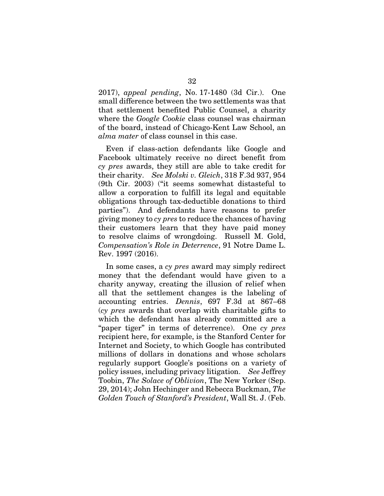2017), *appeal pending*, No. 17-1480 (3d Cir.). One small difference between the two settlements was that that settlement benefited Public Counsel, a charity where the *Google Cookie* class counsel was chairman of the board, instead of Chicago-Kent Law School, an *alma mater* of class counsel in this case.

Even if class-action defendants like Google and Facebook ultimately receive no direct benefit from *cy pres* awards, they still are able to take credit for their charity. *See Molski v. Gleich*, 318 F.3d 937, 954 (9th Cir. 2003) ("it seems somewhat distasteful to allow a corporation to fulfill its legal and equitable obligations through tax-deductible donations to third parties"). And defendants have reasons to prefer giving money to *cy pres* to reduce the chances of having their customers learn that they have paid money to resolve claims of wrongdoing. Russell M. Gold, *Compensation's Role in Deterrence*, 91 Notre Dame L. Rev. 1997 (2016).

In some cases, a *cy pres* award may simply redirect money that the defendant would have given to a charity anyway, creating the illusion of relief when all that the settlement changes is the labeling of accounting entries. *Dennis*, 697 F.3d at 867–68 (*cy pres* awards that overlap with charitable gifts to which the defendant has already committed are a "paper tiger" in terms of deterrence). One *cy pres* recipient here, for example, is the Stanford Center for Internet and Society, to which Google has contributed millions of dollars in donations and whose scholars regularly support Google's positions on a variety of policy issues, including privacy litigation. *See* Jeffrey Toobin, *The Solace of Oblivion*, The New Yorker (Sep. 29, 2014); John Hechinger and Rebecca Buckman, *The Golden Touch of Stanford's President*, Wall St. J. (Feb.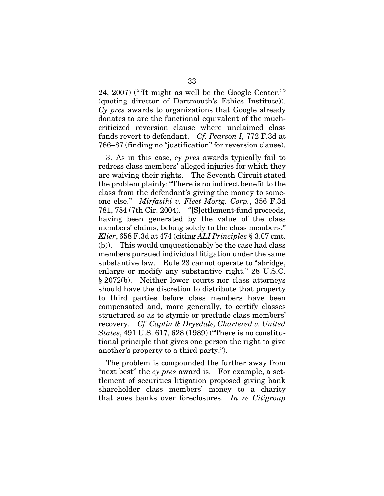24, 2007) ("'It might as well be the Google Center.'" (quoting director of Dartmouth's Ethics Institute)). *Cy pres* awards to organizations that Google already donates to are the functional equivalent of the muchcriticized reversion clause where unclaimed class funds revert to defendant. *Cf. Pearson I,* 772 F.3d at 786–87 (finding no "justification" for reversion clause).

3. As in this case, *cy pres* awards typically fail to redress class members' alleged injuries for which they are waiving their rights. The Seventh Circuit stated the problem plainly: "There is no indirect benefit to the class from the defendant's giving the money to someone else." *Mirfasihi v. Fleet Mortg. Corp.*, 356 F.3d 781, 784 (7th Cir. 2004). "[S]ettlement-fund proceeds, having been generated by the value of the class members' claims, belong solely to the class members." *Klier*, 658 F.3d at 474 (citing *ALI Principles* § 3.07 cmt. (b)). This would unquestionably be the case had class members pursued individual litigation under the same substantive law. Rule 23 cannot operate to "abridge, enlarge or modify any substantive right." 28 U.S.C. § 2072(b). Neither lower courts nor class attorneys should have the discretion to distribute that property to third parties before class members have been compensated and, more generally, to certify classes structured so as to stymie or preclude class members' recovery. *Cf. Caplin & Drysdale, Chartered v. United States*, 491 U.S. 617, 628 (1989) ("There is no constitutional principle that gives one person the right to give another's property to a third party.").

The problem is compounded the further away from "next best" the *cy pres* award is. For example, a settlement of securities litigation proposed giving bank shareholder class members' money to a charity that sues banks over foreclosures. *In re Citigroup*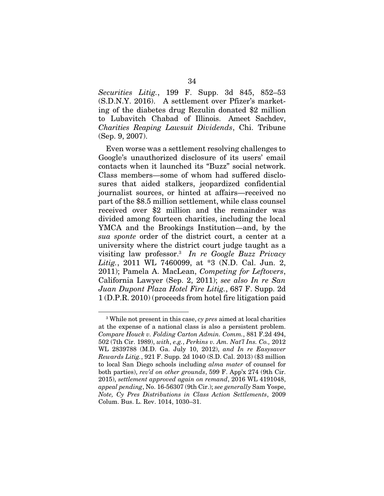*Securities Litig.*, 199 F. Supp. 3d 845, 852–53 (S.D.N.Y. 2016). A settlement over Pfizer's marketing of the diabetes drug Rezulin donated \$2 million to Lubavitch Chabad of Illinois. Ameet Sachdev, *Charities Reaping Lawsuit Dividends*, Chi. Tribune (Sep. 9, 2007).

Even worse was a settlement resolving challenges to Google's unauthorized disclosure of its users' email contacts when it launched its "Buzz" social network. Class members—some of whom had suffered disclosures that aided stalkers, jeopardized confidential journalist sources, or hinted at affairs—received no part of the \$8.5 million settlement, while class counsel received over \$2 million and the remainder was divided among fourteen charities, including the local YMCA and the Brookings Institution—and, by the *sua sponte* order of the district court, a center at a university where the district court judge taught as a visiting law professor.3 *In re Google Buzz Privacy Litig.*, 2011 WL 7460099, at \*3 (N.D. Cal. Jun. 2, 2011); Pamela A. MacLean, *Competing for Leftovers*, California Lawyer (Sep. 2, 2011); *see also In re San Juan Dupont Plaza Hotel Fire Litig.*, 687 F. Supp. 2d 1 (D.P.R. 2010) (proceeds from hotel fire litigation paid

<sup>3</sup> While not present in this case, *cy pres* aimed at local charities at the expense of a national class is also a persistent problem. *Compare Houck v. Folding Carton Admin. Comm.*, 881 F.2d 494, 502 (7th Cir. 1989), *with*, *e.g.*, *Perkins v. Am. Nat'l Ins. Co.,* 2012 WL 2839788 (M.D. Ga. July 10, 2012), *and In re Easysaver Rewards Litig.*, 921 F. Supp. 2d 1040 (S.D. Cal. 2013) (\$3 million to local San Diego schools including *alma mater* of counsel for both parties), *rev'd on other grounds*, 599 F. App'x 274 (9th Cir. 2015), *settlement approved again on remand*, 2016 WL 4191048, *appeal pending*, No. 16-56307 (9th Cir.); *see generally* Sam Yospe, *Note, Cy Pres Distributions in Class Action Settlements*, 2009 Colum. Bus. L. Rev. 1014, 1030–31.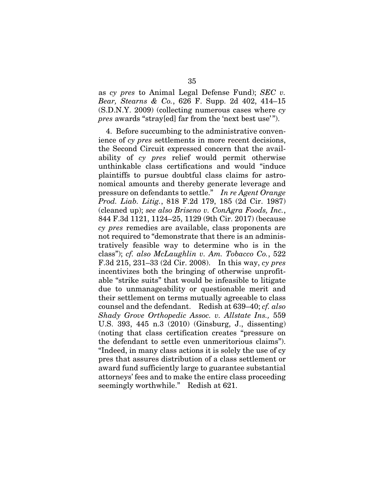as *cy pres* to Animal Legal Defense Fund); *SEC v. Bear, Stearns & Co.*, 626 F. Supp. 2d 402, 414–15 (S.D.N.Y. 2009) (collecting numerous cases where *cy pres* awards "stray[ed] far from the 'next best use'").

4. Before succumbing to the administrative convenience of *cy pres* settlements in more recent decisions, the Second Circuit expressed concern that the availability of *cy pres* relief would permit otherwise unthinkable class certifications and would "induce plaintiffs to pursue doubtful class claims for astronomical amounts and thereby generate leverage and pressure on defendants to settle." *In re Agent Orange Prod. Liab. Litig.*, 818 F.2d 179, 185 (2d Cir. 1987) (cleaned up); *see also Briseno v. ConAgra Foods, Inc.*, 844 F.3d 1121, 1124–25, 1129 (9th Cir. 2017) (because *cy pres* remedies are available, class proponents are not required to "demonstrate that there is an administratively feasible way to determine who is in the class"); *cf. also McLaughlin v. Am. Tobacco Co.*, 522 F.3d 215, 231–33 (2d Cir. 2008). In this way, *cy pres* incentivizes both the bringing of otherwise unprofitable "strike suits" that would be infeasible to litigate due to unmanageability or questionable merit and their settlement on terms mutually agreeable to class counsel and the defendant. Redish at 639–40; *cf. also Shady Grove Orthopedic Assoc. v. Allstate Ins.,* 559 U.S. 393, 445 n.3 (2010) (Ginsburg, J., dissenting) (noting that class certification creates "pressure on the defendant to settle even unmeritorious claims"). "Indeed, in many class actions it is solely the use of cy pres that assures distribution of a class settlement or award fund sufficiently large to guarantee substantial attorneys' fees and to make the entire class proceeding seemingly worthwhile." Redish at 621.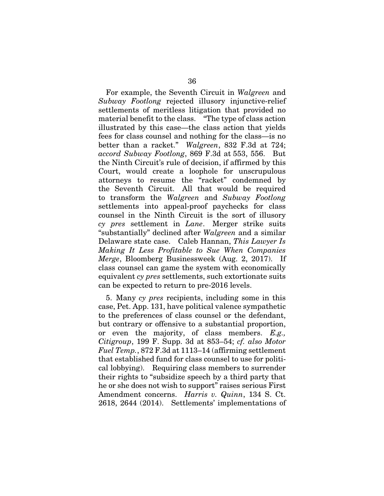For example, the Seventh Circuit in *Walgreen* and *Subway Footlong* rejected illusory injunctive-relief settlements of meritless litigation that provided no material benefit to the class. "The type of class action illustrated by this case—the class action that yields fees for class counsel and nothing for the class—is no better than a racket." *Walgreen*, 832 F.3d at 724; *accord Subway Footlong*, 869 F.3d at 553, 556. But the Ninth Circuit's rule of decision, if affirmed by this Court, would create a loophole for unscrupulous attorneys to resume the "racket" condemned by the Seventh Circuit. All that would be required to transform the *Walgreen* and *Subway Footlong*  settlements into appeal-proof paychecks for class counsel in the Ninth Circuit is the sort of illusory *cy pres* settlement in *Lane*. Merger strike suits "substantially" declined after *Walgreen* and a similar Delaware state case. Caleb Hannan, *This Lawyer Is Making It Less Profitable to Sue When Companies Merge*, Bloomberg Businessweek (Aug. 2, 2017). If class counsel can game the system with economically equivalent *cy pres* settlements, such extortionate suits can be expected to return to pre-2016 levels.

5. Many *cy pres* recipients, including some in this case, Pet. App. 131, have political valence sympathetic to the preferences of class counsel or the defendant, but contrary or offensive to a substantial proportion, or even the majority, of class members. *E.g., Citigroup*, 199 F. Supp. 3d at 853–54; *cf. also Motor Fuel Temp.*, 872 F.3d at 1113–14 (affirming settlement that established fund for class counsel to use for political lobbying). Requiring class members to surrender their rights to "subsidize speech by a third party that he or she does not wish to support" raises serious First Amendment concerns. *Harris v. Quinn*, 134 S. Ct. 2618, 2644 (2014). Settlements' implementations of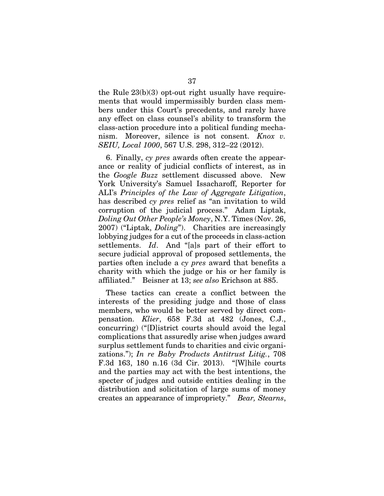the Rule 23(b)(3) opt-out right usually have requirements that would impermissibly burden class members under this Court's precedents, and rarely have any effect on class counsel's ability to transform the class-action procedure into a political funding mechanism. Moreover, silence is not consent. *Knox v. SEIU, Local 1000*, 567 U.S. 298, 312–22 (2012).

6. Finally, *cy pres* awards often create the appearance or reality of judicial conflicts of interest, as in the *Google Buzz* settlement discussed above. New York University's Samuel Issacharoff, Reporter for ALI's *Principles of the Law of Aggregate Litigation*, has described *cy pres* relief as "an invitation to wild corruption of the judicial process." Adam Liptak, *Doling Out Other People's Money*, N.Y. Times (Nov. 26, 2007) ("Liptak, *Doling*"). Charities are increasingly lobbying judges for a cut of the proceeds in class-action settlements. *Id*. And "[a]s part of their effort to secure judicial approval of proposed settlements, the parties often include a *cy pres* award that benefits a charity with which the judge or his or her family is affiliated." Beisner at 13; *see also* Erichson at 885.

These tactics can create a conflict between the interests of the presiding judge and those of class members, who would be better served by direct compensation. *Klier*, 658 F.3d at 482 (Jones, C.J., concurring) ("[D]istrict courts should avoid the legal complications that assuredly arise when judges award surplus settlement funds to charities and civic organizations."); *In re Baby Products Antitrust Litig.*, 708 F.3d 163, 180 n.16 (3d Cir. 2013). "[W]hile courts and the parties may act with the best intentions, the specter of judges and outside entities dealing in the distribution and solicitation of large sums of money creates an appearance of impropriety." *Bear, Stearns*,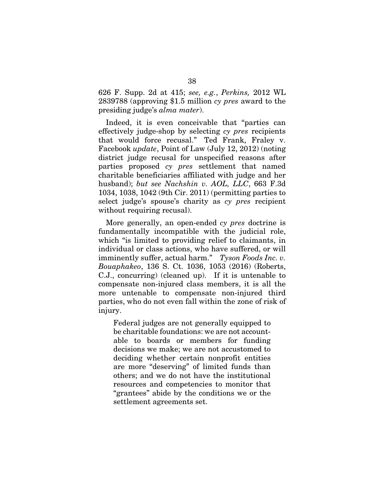626 F. Supp. 2d at 415; *see, e.g.*, *Perkins,* 2012 WL 2839788 (approving \$1.5 million *cy pres* award to the presiding judge's *alma mater*).

Indeed, it is even conceivable that "parties can effectively judge-shop by selecting *cy pres* recipients that would force recusal." Ted Frank, Fraley v. Facebook *update*, Point of Law (July 12, 2012) (noting district judge recusal for unspecified reasons after parties proposed *cy pres* settlement that named charitable beneficiaries affiliated with judge and her husband); *but see Nachshin v. AOL, LLC*, 663 F.3d 1034, 1038, 1042 (9th Cir. 2011) (permitting parties to select judge's spouse's charity as *cy pres* recipient without requiring recusal).

More generally, an open-ended *cy pres* doctrine is fundamentally incompatible with the judicial role, which "is limited to providing relief to claimants, in individual or class actions, who have suffered, or will imminently suffer, actual harm." *Tyson Foods Inc. v. Bouaphakeo*, 136 S. Ct. 1036, 1053 (2016) (Roberts, C.J., concurring) (cleaned up). If it is untenable to compensate non-injured class members, it is all the more untenable to compensate non-injured third parties, who do not even fall within the zone of risk of injury.

Federal judges are not generally equipped to be charitable foundations: we are not accountable to boards or members for funding decisions we make; we are not accustomed to deciding whether certain nonprofit entities are more "deserving" of limited funds than others; and we do not have the institutional resources and competencies to monitor that "grantees" abide by the conditions we or the settlement agreements set.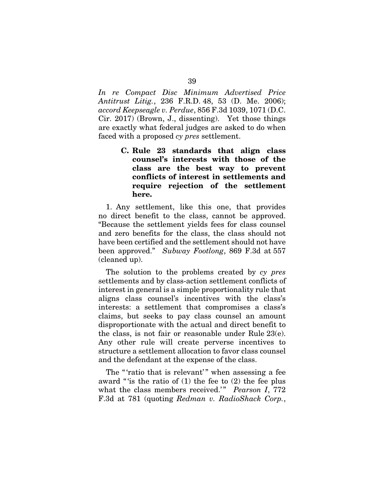*In re Compact Disc Minimum Advertised Price Antitrust Litig.*, 236 F.R.D. 48, 53 (D. Me. 2006); *accord Keepseagle v. Perdue*, 856 F.3d 1039, 1071 (D.C. Cir. 2017) (Brown, J., dissenting). Yet those things are exactly what federal judges are asked to do when faced with a proposed *cy pres* settlement.

> C. Rule 23 standards that align class counsel's interests with those of the class are the best way to prevent conflicts of interest in settlements and require rejection of the settlement here.

1. Any settlement, like this one, that provides no direct benefit to the class, cannot be approved. "Because the settlement yields fees for class counsel and zero benefits for the class, the class should not have been certified and the settlement should not have been approved." *Subway Footlong*, 869 F.3d at 557 (cleaned up).

The solution to the problems created by *cy pres*  settlements and by class-action settlement conflicts of interest in general is a simple proportionality rule that aligns class counsel's incentives with the class's interests: a settlement that compromises a class's claims, but seeks to pay class counsel an amount disproportionate with the actual and direct benefit to the class, is not fair or reasonable under Rule 23(e). Any other rule will create perverse incentives to structure a settlement allocation to favor class counsel and the defendant at the expense of the class.

The "'ratio that is relevant'" when assessing a fee award "'is the ratio of (1) the fee to (2) the fee plus what the class members received.'" *Pearson I*, 772 F.3d at 781 (quoting *Redman v. RadioShack Corp.*,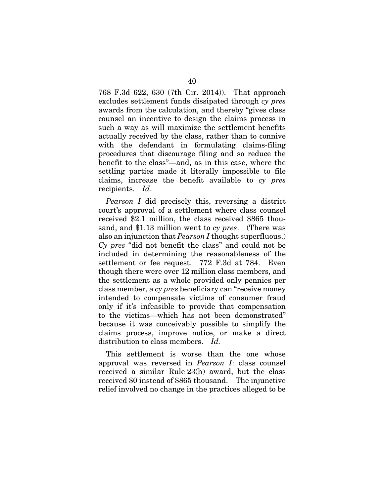768 F.3d 622, 630 (7th Cir. 2014)). That approach excludes settlement funds dissipated through *cy pres* awards from the calculation, and thereby "gives class counsel an incentive to design the claims process in such a way as will maximize the settlement benefits actually received by the class, rather than to connive with the defendant in formulating claims-filing procedures that discourage filing and so reduce the benefit to the class"—and, as in this case, where the settling parties made it literally impossible to file claims, increase the benefit available to *cy pres* recipients. *Id*.

*Pearson I* did precisely this, reversing a district court's approval of a settlement where class counsel received \$2.1 million, the class received \$865 thousand, and \$1.13 million went to *cy pres*. (There was also an injunction that *Pearson I* thought superfluous.) *Cy pres* "did not benefit the class" and could not be included in determining the reasonableness of the settlement or fee request. 772 F.3d at 784. Even though there were over 12 million class members, and the settlement as a whole provided only pennies per class member, a *cy pres* beneficiary can "receive money intended to compensate victims of consumer fraud only if it's infeasible to provide that compensation to the victims—which has not been demonstrated" because it was conceivably possible to simplify the claims process, improve notice, or make a direct distribution to class members. *Id.*

This settlement is worse than the one whose approval was reversed in *Pearson I*: class counsel received a similar Rule 23(h) award, but the class received \$0 instead of \$865 thousand. The injunctive relief involved no change in the practices alleged to be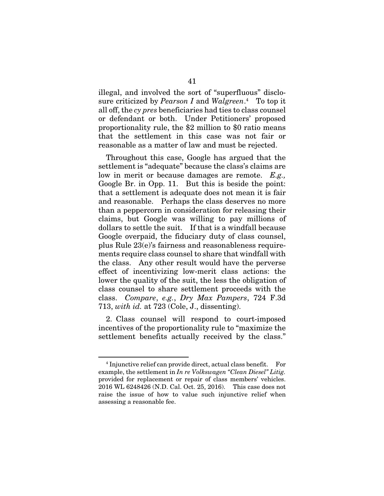illegal, and involved the sort of "superfluous" disclosure criticized by *Pearson I* and *Walgreen*. <sup>4</sup> To top it all off, the *cy pres* beneficiaries had ties to class counsel or defendant or both. Under Petitioners' proposed proportionality rule, the \$2 million to \$0 ratio means that the settlement in this case was not fair or reasonable as a matter of law and must be rejected.

Throughout this case, Google has argued that the settlement is "adequate" because the class's claims are low in merit or because damages are remote. *E.g.,*  Google Br. in Opp. 11. But this is beside the point: that a settlement is adequate does not mean it is fair and reasonable. Perhaps the class deserves no more than a peppercorn in consideration for releasing their claims, but Google was willing to pay millions of dollars to settle the suit. If that is a windfall because Google overpaid, the fiduciary duty of class counsel, plus Rule 23(e)'s fairness and reasonableness requirements require class counsel to share that windfall with the class. Any other result would have the perverse effect of incentivizing low-merit class actions: the lower the quality of the suit, the less the obligation of class counsel to share settlement proceeds with the class. *Compare*, *e.g.*, *Dry Max Pampers*, 724 F.3d 713, *with id.* at 723 (Cole, J., dissenting).

2. Class counsel will respond to court-imposed incentives of the proportionality rule to "maximize the settlement benefits actually received by the class."

<sup>4</sup> Injunctive relief can provide direct, actual class benefit. For example, the settlement in *In re Volkswagen "Clean Diesel" Litig.* provided for replacement or repair of class members' vehicles. 2016 WL 6248426 (N.D. Cal. Oct. 25, 2016). This case does not raise the issue of how to value such injunctive relief when assessing a reasonable fee.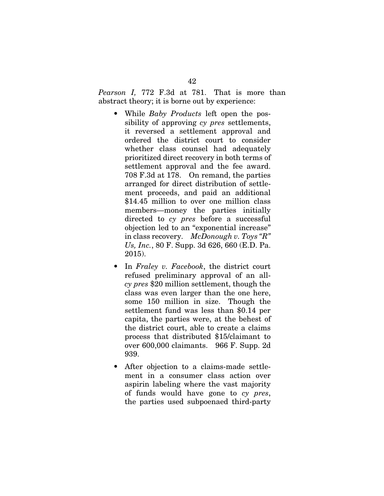*Pearson I,* 772 F.3d at 781. That is more than abstract theory; it is borne out by experience:

- While *Baby Products* left open the possibility of approving *cy pres* settlements, it reversed a settlement approval and ordered the district court to consider whether class counsel had adequately prioritized direct recovery in both terms of settlement approval and the fee award. 708 F.3d at 178. On remand, the parties arranged for direct distribution of settlement proceeds, and paid an additional \$14.45 million to over one million class members—money the parties initially directed to *cy pres* before a successful objection led to an "exponential increase" in class recovery. *McDonough v. Toys "R" Us, Inc.*, 80 F. Supp. 3d 626, 660 (E.D. Pa. 2015).
- In *Fraley v. Facebook*, the district court refused preliminary approval of an all*cy pres* \$20 million settlement, though the class was even larger than the one here, some 150 million in size. Though the settlement fund was less than \$0.14 per capita, the parties were, at the behest of the district court, able to create a claims process that distributed \$15/claimant to over 600,000 claimants. 966 F. Supp. 2d 939.
- After objection to a claims-made settlement in a consumer class action over aspirin labeling where the vast majority of funds would have gone to *cy pres*, the parties used subpoenaed third-party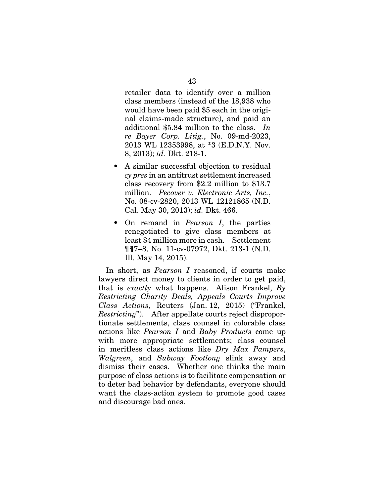retailer data to identify over a million class members (instead of the 18,938 who would have been paid \$5 each in the original claims-made structure), and paid an additional \$5.84 million to the class. *In re Bayer Corp. Litig.*, No. 09-md-2023, 2013 WL 12353998, at \*3 (E.D.N.Y. Nov. 8, 2013); *id.* Dkt. 218-1.

- A similar successful objection to residual *cy pres* in an antitrust settlement increased class recovery from \$2.2 million to \$13.7 million. *Pecover v. Electronic Arts, Inc.*, No. 08-cv-2820, 2013 WL 12121865 (N.D. Cal. May 30, 2013); *id.* Dkt. 466.
- On remand in *Pearson I*, the parties renegotiated to give class members at least \$4 million more in cash. Settlement ¶¶7–8, No. 11-cv-07972, Dkt. 213-1 (N.D. Ill. May 14, 2015).

In short, as *Pearson I* reasoned, if courts make lawyers direct money to clients in order to get paid, that is *exactly* what happens. Alison Frankel, *By Restricting Charity Deals, Appeals Courts Improve Class Actions*, Reuters (Jan. 12, 2015) ("Frankel, *Restricting*"). After appellate courts reject disproportionate settlements, class counsel in colorable class actions like *Pearson I* and *Baby Products* come up with more appropriate settlements; class counsel in meritless class actions like *Dry Max Pampers*, *Walgreen*, and *Subway Footlong* slink away and dismiss their cases. Whether one thinks the main purpose of class actions is to facilitate compensation or to deter bad behavior by defendants, everyone should want the class-action system to promote good cases and discourage bad ones.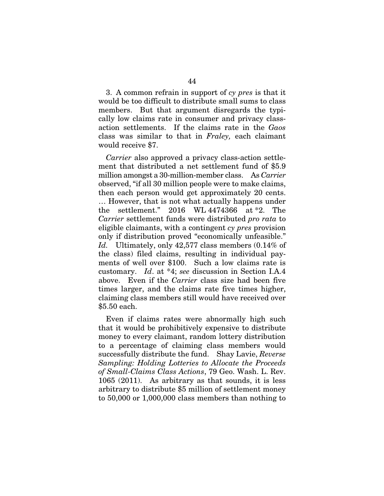3. A common refrain in support of *cy pres* is that it would be too difficult to distribute small sums to class members. But that argument disregards the typically low claims rate in consumer and privacy classaction settlements. If the claims rate in the *Gaos*  class was similar to that in *Fraley,* each claimant would receive \$7.

*Carrier* also approved a privacy class-action settlement that distributed a net settlement fund of \$5.9 million amongst a 30-million-member class. As *Carrier* observed, "if all 30 million people were to make claims, then each person would get approximately 20 cents. … However, that is not what actually happens under the settlement." 2016 WL 4474366 at \*2. The *Carrier* settlement funds were distributed *pro rata* to eligible claimants, with a contingent *cy pres* provision only if distribution proved "economically unfeasible." *Id.* Ultimately, only 42,577 class members (0.14% of the class) filed claims, resulting in individual payments of well over \$100. Such a low claims rate is customary. *Id*. at \*4; *see* discussion in Section I.A.4 above. Even if the *Carrier* class size had been five times larger, and the claims rate five times higher, claiming class members still would have received over \$5.50 each.

Even if claims rates were abnormally high such that it would be prohibitively expensive to distribute money to every claimant, random lottery distribution to a percentage of claiming class members would successfully distribute the fund. Shay Lavie, *Reverse Sampling: Holding Lotteries to Allocate the Proceeds of Small-Claims Class Actions*, 79 Geo. Wash. L. Rev. 1065 (2011). As arbitrary as that sounds, it is less arbitrary to distribute \$5 million of settlement money to 50,000 or 1,000,000 class members than nothing to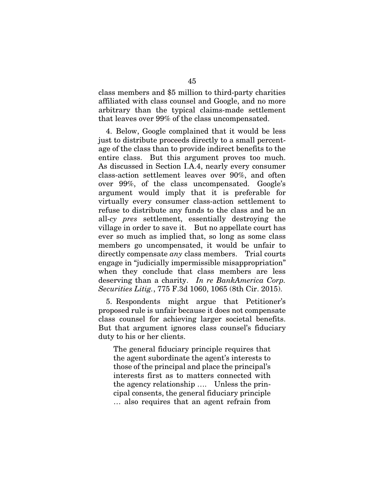class members and \$5 million to third-party charities affiliated with class counsel and Google, and no more arbitrary than the typical claims-made settlement that leaves over 99% of the class uncompensated.

4. Below, Google complained that it would be less just to distribute proceeds directly to a small percentage of the class than to provide indirect benefits to the entire class. But this argument proves too much. As discussed in Section I.A.4, nearly every consumer class-action settlement leaves over 90%, and often over 99%, of the class uncompensated. Google's argument would imply that it is preferable for virtually every consumer class-action settlement to refuse to distribute any funds to the class and be an all-*cy pres* settlement, essentially destroying the village in order to save it. But no appellate court has ever so much as implied that, so long as some class members go uncompensated, it would be unfair to directly compensate *any* class members. Trial courts engage in "judicially impermissible misappropriation" when they conclude that class members are less deserving than a charity. *In re BankAmerica Corp. Securities Litig.*, 775 F.3d 1060, 1065 (8th Cir. 2015).

5. Respondents might argue that Petitioner's proposed rule is unfair because it does not compensate class counsel for achieving larger societal benefits. But that argument ignores class counsel's fiduciary duty to his or her clients.

The general fiduciary principle requires that the agent subordinate the agent's interests to those of the principal and place the principal's interests first as to matters connected with the agency relationship …. Unless the principal consents, the general fiduciary principle … also requires that an agent refrain from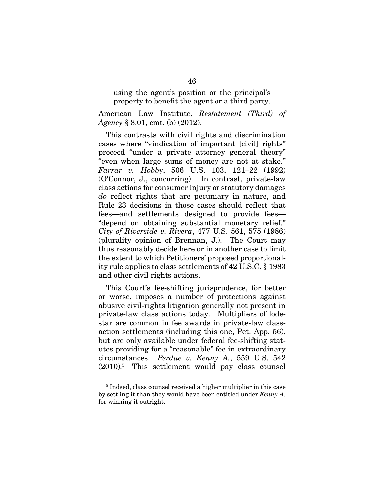using the agent's position or the principal's property to benefit the agent or a third party.

American Law Institute, *Restatement (Third) of Agency* § 8.01, cmt. (b) (2012).

This contrasts with civil rights and discrimination cases where "vindication of important [civil] rights" proceed "under a private attorney general theory" "even when large sums of money are not at stake." *Farrar v. Hobby*, 506 U.S. 103, 121–22 (1992) (O'Connor, J., concurring). In contrast, private-law class actions for consumer injury or statutory damages *do* reflect rights that are pecuniary in nature, and Rule 23 decisions in those cases should reflect that fees—and settlements designed to provide fees— "depend on obtaining substantial monetary relief." *City of Riverside v. Rivera*, 477 U.S. 561, 575 (1986) (plurality opinion of Brennan, J.). The Court may thus reasonably decide here or in another case to limit the extent to which Petitioners' proposed proportionality rule applies to class settlements of 42 U.S.C. § 1983 and other civil rights actions.

This Court's fee-shifting jurisprudence, for better or worse, imposes a number of protections against abusive civil-rights litigation generally not present in private-law class actions today. Multipliers of lodestar are common in fee awards in private-law classaction settlements (including this one, Pet. App. 56), but are only available under federal fee-shifting statutes providing for a "reasonable" fee in extraordinary circumstances. *Perdue v. Kenny A.*, 559 U.S. 542  $(2010).5$  This settlement would pay class counsel

<sup>5</sup> Indeed, class counsel received a higher multiplier in this case by settling it than they would have been entitled under *Kenny A.*  for winning it outright.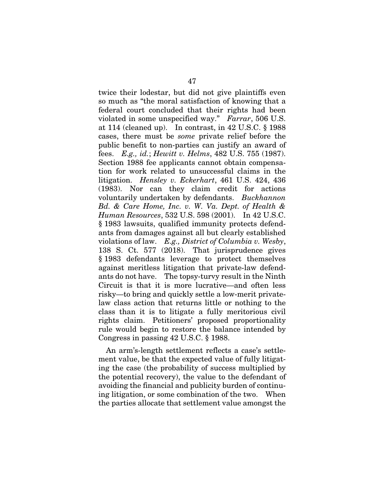twice their lodestar, but did not give plaintiffs even so much as "the moral satisfaction of knowing that a federal court concluded that their rights had been violated in some unspecified way." *Farrar*, 506 U.S. at 114 (cleaned up). In contrast, in 42 U.S.C. § 1988 cases, there must be *some* private relief before the public benefit to non-parties can justify an award of fees. *E.g., id.*; *Hewitt v. Helms*, 482 U.S. 755 (1987). Section 1988 fee applicants cannot obtain compensation for work related to unsuccessful claims in the litigation. *Hensley v. Eckerhart*, 461 U.S. 424, 436 (1983). Nor can they claim credit for actions voluntarily undertaken by defendants. *Buckhannon Bd. & Care Home, Inc. v. W. Va. Dept. of Health & Human Resources*, 532 U.S. 598 (2001). In 42 U.S.C. § 1983 lawsuits, qualified immunity protects defendants from damages against all but clearly established violations of law. *E.g., District of Columbia v. Wesby*, 138 S. Ct. 577 (2018). That jurisprudence gives § 1983 defendants leverage to protect themselves against meritless litigation that private-law defendants do not have. The topsy-turvy result in the Ninth Circuit is that it is more lucrative—and often less risky—to bring and quickly settle a low-merit privatelaw class action that returns little or nothing to the class than it is to litigate a fully meritorious civil rights claim. Petitioners' proposed proportionality rule would begin to restore the balance intended by Congress in passing 42 U.S.C. § 1988.

An arm's-length settlement reflects a case's settlement value, be that the expected value of fully litigating the case (the probability of success multiplied by the potential recovery), the value to the defendant of avoiding the financial and publicity burden of continuing litigation, or some combination of the two. When the parties allocate that settlement value amongst the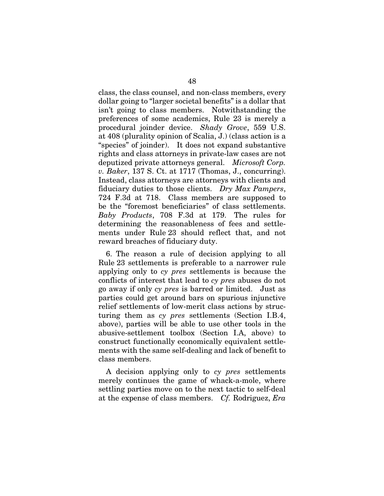class, the class counsel, and non-class members, every dollar going to "larger societal benefits" is a dollar that isn't going to class members. Notwithstanding the preferences of some academics, Rule 23 is merely a procedural joinder device. *Shady Grove*, 559 U.S. at 408 (plurality opinion of Scalia, J.) (class action is a "species" of joinder). It does not expand substantive rights and class attorneys in private-law cases are not deputized private attorneys general. *Microsoft Corp. v. Baker*, 137 S. Ct. at 1717 (Thomas, J., concurring). Instead, class attorneys are attorneys with clients and fiduciary duties to those clients. *Dry Max Pampers*, 724 F.3d at 718. Class members are supposed to be the "foremost beneficiaries" of class settlements. *Baby Products*, 708 F.3d at 179. The rules for determining the reasonableness of fees and settlements under Rule 23 should reflect that, and not reward breaches of fiduciary duty.

6. The reason a rule of decision applying to all Rule 23 settlements is preferable to a narrower rule applying only to *cy pres* settlements is because the conflicts of interest that lead to *cy pres* abuses do not go away if only *cy pres* is barred or limited. Just as parties could get around bars on spurious injunctive relief settlements of low-merit class actions by structuring them as *cy pres* settlements (Section I.B.4, above), parties will be able to use other tools in the abusive-settlement toolbox (Section I.A, above) to construct functionally economically equivalent settlements with the same self-dealing and lack of benefit to class members.

A decision applying only to *cy pres* settlements merely continues the game of whack-a-mole, where settling parties move on to the next tactic to self-deal at the expense of class members. *Cf.* Rodriguez, *Era*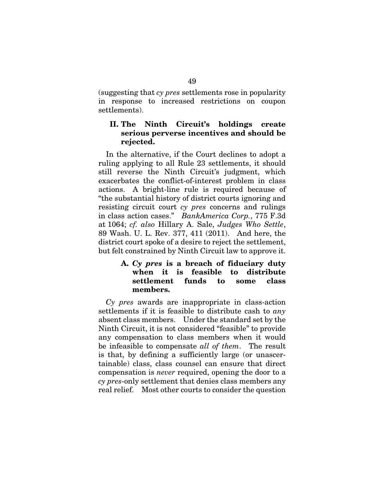(suggesting that *cy pres* settlements rose in popularity in response to increased restrictions on coupon settlements).

## II. The Ninth Circuit's holdings create serious perverse incentives and should be rejected.

In the alternative, if the Court declines to adopt a ruling applying to all Rule 23 settlements, it should still reverse the Ninth Circuit's judgment, which exacerbates the conflict-of-interest problem in class actions. A bright-line rule is required because of "the substantial history of district courts ignoring and resisting circuit court *cy pres* concerns and rulings in class action cases." *BankAmerica Corp.*, 775 F.3d at 1064; *cf. also* Hillary A. Sale, *Judges Who Settle*, 89 Wash. U. L. Rev. 377, 411 (2011). And here, the district court spoke of a desire to reject the settlement, but felt constrained by Ninth Circuit law to approve it.

# A. *Cy pres* is a breach of fiduciary duty when it is feasible to distribute settlement funds to some class members.

*Cy pres* awards are inappropriate in class-action settlements if it is feasible to distribute cash to *any*  absent class members. Under the standard set by the Ninth Circuit, it is not considered "feasible" to provide any compensation to class members when it would be infeasible to compensate *all of them*. The result is that, by defining a sufficiently large (or unascertainable) class, class counsel can ensure that direct compensation is *never* required, opening the door to a *cy pres*-only settlement that denies class members any real relief. Most other courts to consider the question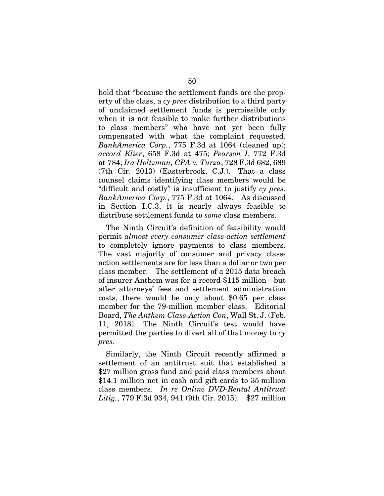hold that "because the settlement funds are the property of the class, a *cy pres* distribution to a third party of unclaimed settlement funds is permissible only when it is not feasible to make further distributions to class members" who have not yet been fully compensated with what the complaint requested. *BankAmerica Corp.*, 775 F.3d at 1064 (cleaned up); *accord Klier*, 658 F.3d at 475; *Pearson I*, 772 F.3d at 784; *Ira Holtzman, CPA v. Turza*, 728 F.3d 682, 689 (7th Cir. 2013) (Easterbrook, C.J.). That a class counsel claims identifying class members would be "difficult and costly" is insufficient to justify *cy pres*. *BankAmerica Corp.*, 775 F.3d at 1064. As discussed in Section I.C.3, it is nearly always feasible to distribute settlement funds to *some* class members.

The Ninth Circuit's definition of feasibility would permit *almost every consumer class-action settlement* to completely ignore payments to class members. The vast majority of consumer and privacy classaction settlements are for less than a dollar or two per class member. The settlement of a 2015 data breach of insurer Anthem was for a record \$115 million—but after attorneys' fees and settlement administration costs, there would be only about \$0.65 per class member for the 79-million member class. Editorial Board, *The Anthem Class-Action Con*, Wall St. J. (Feb. 11, 2018). The Ninth Circuit's test would have permitted the parties to divert all of that money to *cy pres*.

Similarly, the Ninth Circuit recently affirmed a settlement of an antitrust suit that established a \$27 million gross fund and paid class members about \$14.1 million net in cash and gift cards to 35 million class members. *In re Online DVD-Rental Antitrust Litig.*, 779 F.3d 934, 941 (9th Cir. 2015). \$27 million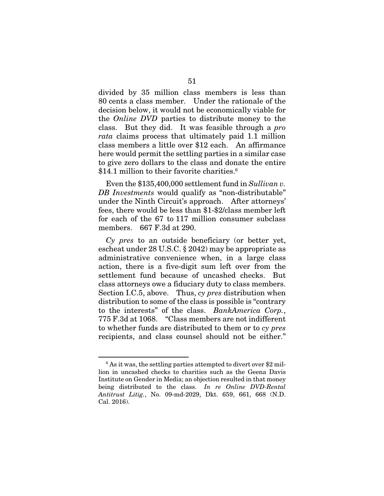divided by 35 million class members is less than 80 cents a class member. Under the rationale of the decision below, it would not be economically viable for the *Online DVD* parties to distribute money to the class. But they did. It was feasible through a *pro rata* claims process that ultimately paid 1.1 million class members a little over \$12 each. An affirmance here would permit the settling parties in a similar case to give zero dollars to the class and donate the entire \$14.1 million to their favorite charities.<sup>6</sup>

Even the \$135,400,000 settlement fund in *Sullivan v. DB Investments* would qualify as "non-distributable" under the Ninth Circuit's approach. After attorneys' fees, there would be less than \$1-\$2/class member left for each of the 67 to 117 million consumer subclass members. 667 F.3d at 290.

*Cy pres* to an outside beneficiary (or better yet, escheat under 28 U.S.C. § 2042) may be appropriate as administrative convenience when, in a large class action, there is a five-digit sum left over from the settlement fund because of uncashed checks. But class attorneys owe a fiduciary duty to class members. Section I.C.5, above. Thus, *cy pres* distribution when distribution to some of the class is possible is "contrary to the interests" of the class. *BankAmerica Corp.*, 775 F.3d at 1068. "Class members are not indifferent to whether funds are distributed to them or to *cy pres* recipients, and class counsel should not be either."

 $^6$  As it was, the settling parties attempted to divert over \$2 million in uncashed checks to charities such as the Geena Davis Institute on Gender in Media; an objection resulted in that money being distributed to the class. *In re Online DVD-Rental Antitrust Litig.*, No. 09-md-2029, Dkt. 659, 661, 668 (N.D. Cal. 2016).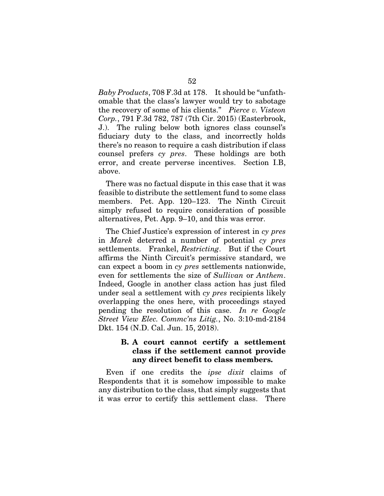*Baby Products*, 708 F.3d at 178. It should be "unfathomable that the class's lawyer would try to sabotage the recovery of some of his clients." *Pierce v. Visteon Corp.*, 791 F.3d 782, 787 (7th Cir. 2015) (Easterbrook, J.). The ruling below both ignores class counsel's fiduciary duty to the class, and incorrectly holds there's no reason to require a cash distribution if class counsel prefers *cy pres*. These holdings are both error, and create perverse incentives. Section I.B, above.

There was no factual dispute in this case that it was feasible to distribute the settlement fund to some class members. Pet. App. 120–123. The Ninth Circuit simply refused to require consideration of possible alternatives, Pet. App. 9–10, and this was error.

The Chief Justice's expression of interest in *cy pres*  in *Marek* deterred a number of potential *cy pres*  settlements. Frankel, *Restricting*. But if the Court affirms the Ninth Circuit's permissive standard, we can expect a boom in *cy pres* settlements nationwide, even for settlements the size of *Sullivan* or *Anthem*. Indeed, Google in another class action has just filed under seal a settlement with *cy pres* recipients likely overlapping the ones here, with proceedings stayed pending the resolution of this case. *In re Google Street View Elec. Commc'ns Litig.*, No. 3:10-md-2184 Dkt. 154 (N.D. Cal. Jun. 15, 2018).

### B. A court cannot certify a settlement class if the settlement cannot provide any direct benefit to class members.

Even if one credits the *ipse dixit* claims of Respondents that it is somehow impossible to make any distribution to the class, that simply suggests that it was error to certify this settlement class. There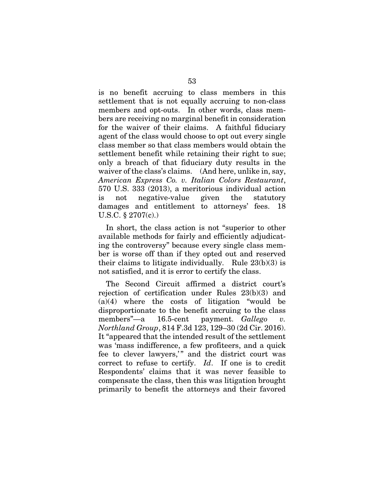is no benefit accruing to class members in this settlement that is not equally accruing to non-class members and opt-outs. In other words, class members are receiving no marginal benefit in consideration for the waiver of their claims. A faithful fiduciary agent of the class would choose to opt out every single class member so that class members would obtain the settlement benefit while retaining their right to sue; only a breach of that fiduciary duty results in the waiver of the class's claims. (And here, unlike in, say, *American Express Co. v. Italian Colors Restaurant*, 570 U.S. 333 (2013), a meritorious individual action is not negative-value given the statutory damages and entitlement to attorneys' fees. 18 U.S.C. § 2707(c).)

In short, the class action is not "superior to other available methods for fairly and efficiently adjudicating the controversy" because every single class member is worse off than if they opted out and reserved their claims to litigate individually. Rule  $23(b)(3)$  is not satisfied, and it is error to certify the class.

The Second Circuit affirmed a district court's rejection of certification under Rules 23(b)(3) and  $(a)(4)$  where the costs of litigation "would be disproportionate to the benefit accruing to the class members"—a 16.5-cent payment. *Gallego v. Northland Group*, 814 F.3d 123, 129–30 (2d Cir. 2016). It "appeared that the intended result of the settlement was 'mass indifference, a few profiteers, and a quick fee to clever lawyers,'" and the district court was correct to refuse to certify. *Id*. If one is to credit Respondents' claims that it was never feasible to compensate the class, then this was litigation brought primarily to benefit the attorneys and their favored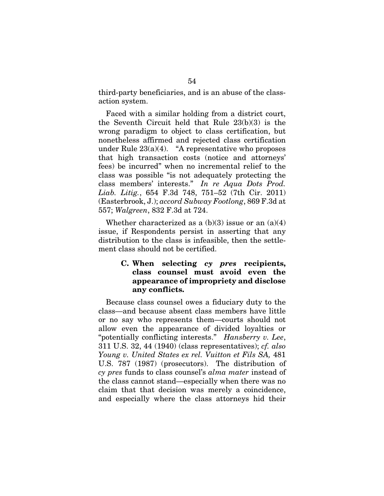third-party beneficiaries, and is an abuse of the classaction system.

Faced with a similar holding from a district court, the Seventh Circuit held that Rule 23(b)(3) is the wrong paradigm to object to class certification, but nonetheless affirmed and rejected class certification under Rule  $23(a)(4)$ . "A representative who proposes that high transaction costs (notice and attorneys' fees) be incurred" when no incremental relief to the class was possible "is not adequately protecting the class members' interests." *In re Aqua Dots Prod. Liab. Litig.*, 654 F.3d 748, 751–52 (7th Cir. 2011) (Easterbrook, J.); *accord Subway Footlong*, 869 F.3d at 557; *Walgreen*, 832 F.3d at 724.

Whether characterized as a (b)(3) issue or an (a)(4) issue, if Respondents persist in asserting that any distribution to the class is infeasible, then the settlement class should not be certified.

## C. When selecting *cy pres* recipients, class counsel must avoid even the appearance of impropriety and disclose any conflicts.

Because class counsel owes a fiduciary duty to the class—and because absent class members have little or no say who represents them—courts should not allow even the appearance of divided loyalties or "potentially conflicting interests." *Hansberry v. Lee*, 311 U.S. 32, 44 (1940) (class representatives); *cf. also Young v. United States ex rel. Vuitton et Fils SA,* 481 U.S. 787 (1987) (prosecutors). The distribution of *cy pres* funds to class counsel's *alma mater* instead of the class cannot stand—especially when there was no claim that that decision was merely a coincidence, and especially where the class attorneys hid their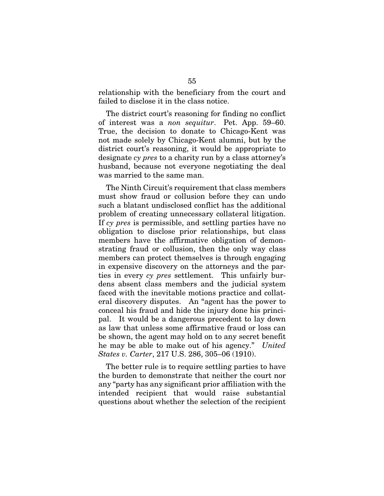relationship with the beneficiary from the court and failed to disclose it in the class notice.

The district court's reasoning for finding no conflict of interest was a *non sequitur*. Pet. App. 59–60. True, the decision to donate to Chicago-Kent was not made solely by Chicago-Kent alumni, but by the district court's reasoning, it would be appropriate to designate *cy pres* to a charity run by a class attorney's husband, because not everyone negotiating the deal was married to the same man.

The Ninth Circuit's requirement that class members must show fraud or collusion before they can undo such a blatant undisclosed conflict has the additional problem of creating unnecessary collateral litigation. If *cy pres* is permissible, and settling parties have no obligation to disclose prior relationships, but class members have the affirmative obligation of demonstrating fraud or collusion, then the only way class members can protect themselves is through engaging in expensive discovery on the attorneys and the parties in every *cy pres* settlement. This unfairly burdens absent class members and the judicial system faced with the inevitable motions practice and collateral discovery disputes. An "agent has the power to conceal his fraud and hide the injury done his principal. It would be a dangerous precedent to lay down as law that unless some affirmative fraud or loss can be shown, the agent may hold on to any secret benefit he may be able to make out of his agency." *United States v. Carter*, 217 U.S. 286, 305–06 (1910).

The better rule is to require settling parties to have the burden to demonstrate that neither the court nor any "party has any significant prior affiliation with the intended recipient that would raise substantial questions about whether the selection of the recipient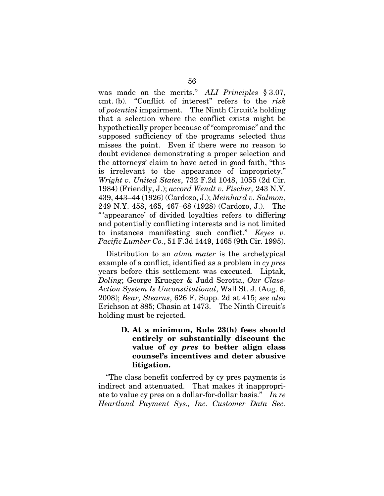was made on the merits." *ALI Principles* § 3.07, cmt. (b). "Conflict of interest" refers to the *risk*  of *potential* impairment. The Ninth Circuit's holding that a selection where the conflict exists might be hypothetically proper because of "compromise" and the supposed sufficiency of the programs selected thus misses the point. Even if there were no reason to doubt evidence demonstrating a proper selection and the attorneys' claim to have acted in good faith, "this is irrelevant to the appearance of impropriety." *Wright v. United States*, 732 F.2d 1048, 1055 (2d Cir. 1984) (Friendly, J.); *accord Wendt v. Fischer,* 243 N.Y. 439, 443–44 (1926) (Cardozo, J.); *Meinhard v. Salmon*, 249 N.Y. 458, 465, 467–68 (1928) (Cardozo, J.). The "'appearance' of divided loyalties refers to differing and potentially conflicting interests and is not limited to instances manifesting such conflict." *Keyes v. Pacific Lumber Co.*, 51 F.3d 1449, 1465 (9th Cir. 1995).

Distribution to an *alma mater* is the archetypical example of a conflict, identified as a problem in *cy pres*  years before this settlement was executed. Liptak, *Doling*; George Krueger & Judd Serotta, *Our Class-Action System Is Unconstitutional*, Wall St. J. (Aug. 6, 2008); *Bear, Stearns*, 626 F. Supp. 2d at 415; *see also*  Erichson at 885; Chasin at 1473. The Ninth Circuit's holding must be rejected.

> D. At a minimum, Rule 23(h) fees should entirely or substantially discount the value of *cy pres* to better align class counsel's incentives and deter abusive litigation.

"The class benefit conferred by cy pres payments is indirect and attenuated. That makes it inappropriate to value cy pres on a dollar-for-dollar basis." *In re Heartland Payment Sys., Inc. Customer Data Sec.*